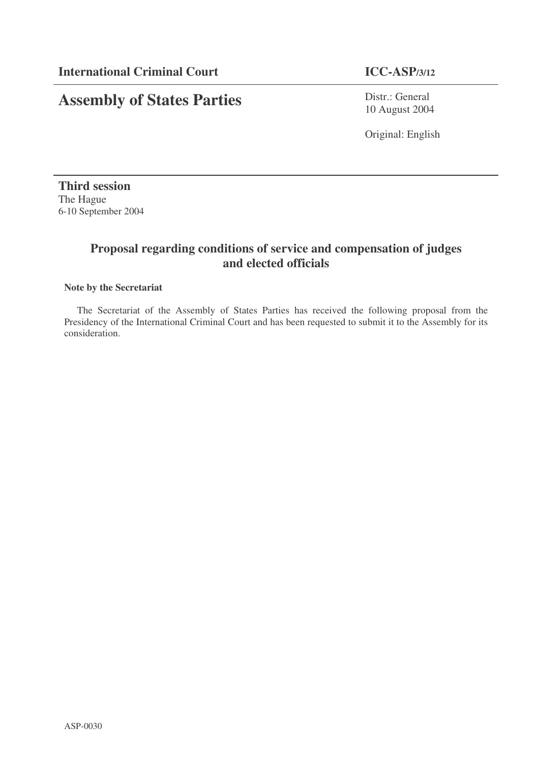# **Assembly of States Parties**

Distr.: General 10 August 2004

Original: English

**Third session** The Hague 6-10 September 2004

# **Proposal regarding conditions of service and compensation of judges and elected officials**

### **Note by the Secretariat**

The Secretariat of the Assembly of States Parties has received the following proposal from the Presidency of the International Criminal Court and has been requested to submit it to the Assembly for its consideration.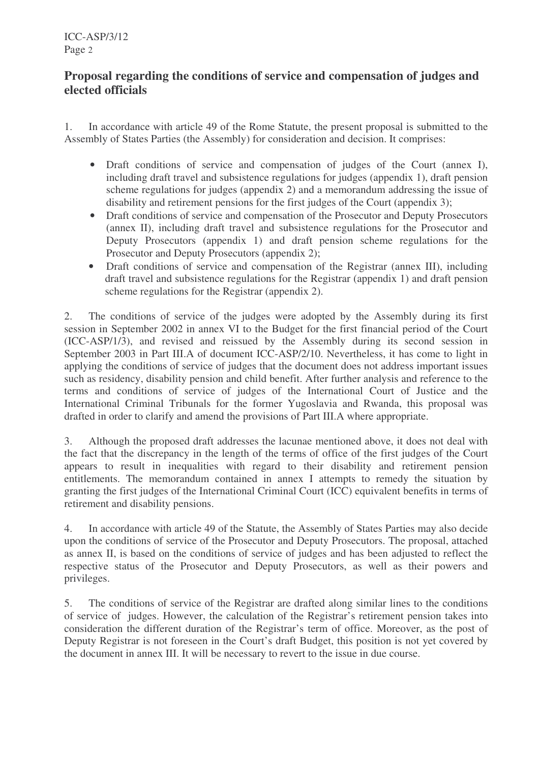# **Proposal regarding the conditions of service and compensation of judges and elected officials**

1. In accordance with article 49 of the Rome Statute, the present proposal is submitted to the Assembly of States Parties (the Assembly) for consideration and decision. It comprises:

- Draft conditions of service and compensation of judges of the Court (annex I), including draft travel and subsistence regulations for judges (appendix 1), draft pension scheme regulations for judges (appendix 2) and a memorandum addressing the issue of disability and retirement pensions for the first judges of the Court (appendix 3);
- Draft conditions of service and compensation of the Prosecutor and Deputy Prosecutors (annex II), including draft travel and subsistence regulations for the Prosecutor and Deputy Prosecutors (appendix 1) and draft pension scheme regulations for the Prosecutor and Deputy Prosecutors (appendix 2);
- Draft conditions of service and compensation of the Registrar (annex III), including draft travel and subsistence regulations for the Registrar (appendix 1) and draft pension scheme regulations for the Registrar (appendix 2).

2. The conditions of service of the judges were adopted by the Assembly during its first session in September 2002 in annex VI to the Budget for the first financial period of the Court (ICC-ASP/1/3), and revised and reissued by the Assembly during its second session in September 2003 in Part III.A of document ICC-ASP/2/10. Nevertheless, it has come to light in applying the conditions of service of judges that the document does not address important issues such as residency, disability pension and child benefit. After further analysis and reference to the terms and conditions of service of judges of the International Court of Justice and the International Criminal Tribunals for the former Yugoslavia and Rwanda, this proposal was drafted in order to clarify and amend the provisions of Part III.A where appropriate.

3. Although the proposed draft addresses the lacunae mentioned above, it does not deal with the fact that the discrepancy in the length of the terms of office of the first judges of the Court appears to result in inequalities with regard to their disability and retirement pension entitlements. The memorandum contained in annex I attempts to remedy the situation by granting the first judges of the International Criminal Court (ICC) equivalent benefits in terms of retirement and disability pensions.

4. In accordance with article 49 of the Statute, the Assembly of States Parties may also decide upon the conditions of service of the Prosecutor and Deputy Prosecutors. The proposal, attached as annex II, is based on the conditions of service of judges and has been adjusted to reflect the respective status of the Prosecutor and Deputy Prosecutors, as well as their powers and privileges.

5. The conditions of service of the Registrar are drafted along similar lines to the conditions of service of judges. However, the calculation of the Registrar's retirement pension takes into consideration the different duration of the Registrar's term of office. Moreover, as the post of Deputy Registrar is not foreseen in the Court's draft Budget, this position is not yet covered by the document in annex III. It will be necessary to revert to the issue in due course.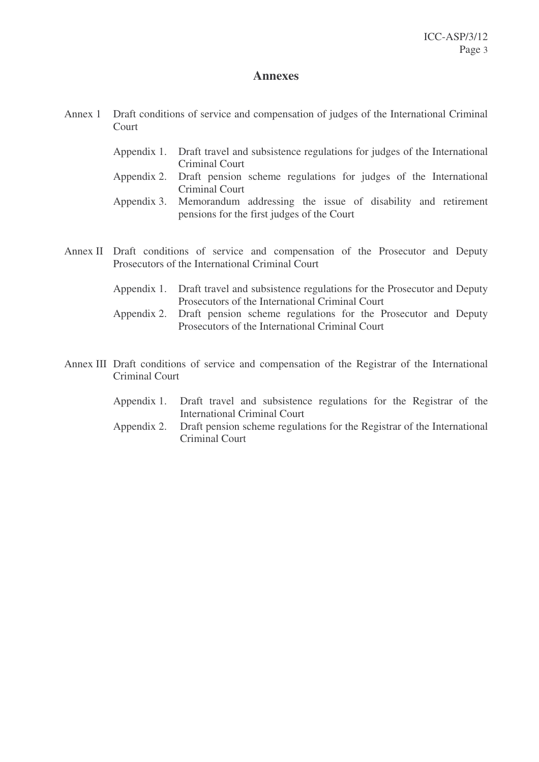# **Annexes**

- Annex 1 Draft conditions of service and compensation of judges of the International Criminal **Court** 
	- Appendix 1. Draft travel and subsistence regulations for judges of the International Criminal Court
	- Appendix 2. Draft pension scheme regulations for judges of the International Criminal Court
	- Appendix 3. Memorandum addressing the issue of disability and retirement pensions for the first judges of the Court
- Annex II Draft conditions of service and compensation of the Prosecutor and Deputy Prosecutors of the International Criminal Court
	- Appendix 1. Draft travel and subsistence regulations for the Prosecutor and Deputy Prosecutors of the International Criminal Court
	- Appendix 2. Draft pension scheme regulations for the Prosecutor and Deputy Prosecutors of the International Criminal Court
- Annex III Draft conditions of service and compensation of the Registrar of the International Criminal Court
	- Appendix 1. Draft travel and subsistence regulations for the Registrar of the International Criminal Court
	- Appendix 2. Draft pension scheme regulations for the Registrar of the International Criminal Court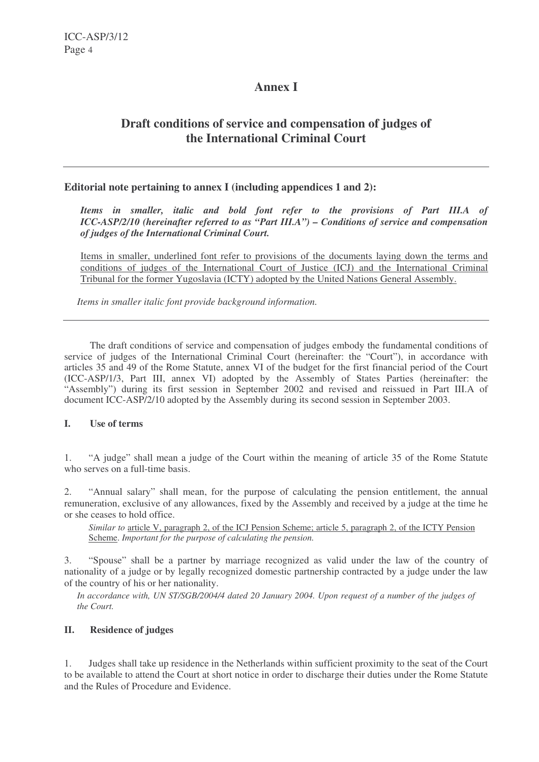# **Annex I**

# **Draft conditions of service and compensation of judges of the International Criminal Court**

### **Editorial note pertaining to annex I (including appendices 1 and 2):**

*Items in smaller, italic and bold font refer to the provisions of Part III.A of ICC-ASP/2/10 (hereinafter referred to as "Part III.A") – Conditions of service and compensation of judges of the International Criminal Court.*

Items in smaller, underlined font refer to provisions of the documents laying down the terms and conditions of judges of the International Court of Justice (ICJ) and the International Criminal Tribunal for the former Yugoslavia (ICTY) adopted by the United Nations General Assembly.

*Items in smaller italic font provide background information.*

The draft conditions of service and compensation of judges embody the fundamental conditions of service of judges of the International Criminal Court (hereinafter: the "Court"), in accordance with articles 35 and 49 of the Rome Statute, annex VI of the budget for the first financial period of the Court (ICC-ASP/1/3, Part III, annex VI) adopted by the Assembly of States Parties (hereinafter: the "Assembly") during its first session in September 2002 and revised and reissued in Part III.A of document ICC-ASP/2/10 adopted by the Assembly during its second session in September 2003.

#### **I. Use of terms**

1. "A judge" shall mean a judge of the Court within the meaning of article 35 of the Rome Statute who serves on a full-time basis.

2. "Annual salary" shall mean, for the purpose of calculating the pension entitlement, the annual remuneration, exclusive of any allowances, fixed by the Assembly and received by a judge at the time he or she ceases to hold office.

*Similar to* article V, paragraph 2, of the ICJ Pension Scheme; article 5, paragraph 2, of the ICTY Pension Scheme. *Important for the purpose of calculating the pension.*

3. "Spouse" shall be a partner by marriage recognized as valid under the law of the country of nationality of a judge or by legally recognized domestic partnership contracted by a judge under the law of the country of his or her nationality.

In accordance with, UN ST/SGB/2004/4 dated 20 January 2004. Upon request of a number of the judges of *the Court.*

#### **II. Residence of judges**

1. Judges shall take up residence in the Netherlands within sufficient proximity to the seat of the Court to be available to attend the Court at short notice in order to discharge their duties under the Rome Statute and the Rules of Procedure and Evidence.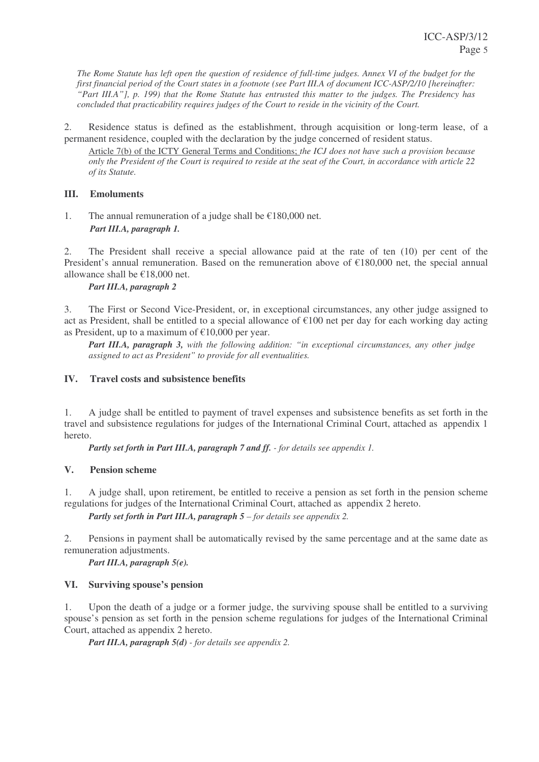The Rome Statute has left open the question of residence of full-time judges. Annex VI of the budget for the first financial period of the Court states in a footnote (see Part III.A of document ICC-ASP/2/10 [hereinafter: "Part III.A"], p. 199) that the Rome Statute has entrusted this matter to the judges. The Presidency has *concluded that practicability requires judges of the Court to reside in the vicinity of the Court.*

2. Residence status is defined as the establishment, through acquisition or long-term lease, of a permanent residence, coupled with the declaration by the judge concerned of resident status.

Article 7(b) of the ICTY General Terms and Conditions; *the ICJ does not have such a provision because* only the President of the Court is required to reside at the seat of the Court, in accordance with article 22 *of its Statute.*

### **III. Emoluments**

1. The annual remuneration of a judge shall be  $\epsilon$ 180,000 net. *Part III.A, paragraph 1.*

2. The President shall receive a special allowance paid at the rate of ten (10) per cent of the President's annual remuneration. Based on the remuneration above of €180,000 net, the special annual allowance shall be €18,000 net.

#### *Part III.A, paragraph 2*

3. The First or Second Vice-President, or, in exceptional circumstances, any other judge assigned to act as President, shall be entitled to a special allowance of €100 net per day for each working day acting as President, up to a maximum of  $\epsilon$ 10,000 per year.

*Part III.A, paragraph 3, with the following addition: "in exceptional circumstances, any other judge assigned to act as President" to provide for all eventualities.*

### **IV. Travel costs and subsistence benefits**

1. A judge shall be entitled to payment of travel expenses and subsistence benefits as set forth in the travel and subsistence regulations for judges of the International Criminal Court, attached as appendix 1 hereto.

*Partly set forth in Part III.A, paragraph 7 and ff. - for details see appendix 1.*

# **V. Pension scheme**

1. A judge shall, upon retirement, be entitled to receive a pension as set forth in the pension scheme regulations for judges of the International Criminal Court, attached as appendix 2 hereto.

*Partly set forth in Part III.A, paragraph 5 – for details see appendix 2.*

2. Pensions in payment shall be automatically revised by the same percentage and at the same date as remuneration adjustments.

*Part III.A, paragraph 5(e).*

# **VI. Surviving spouse's pension**

1. Upon the death of a judge or a former judge, the surviving spouse shall be entitled to a surviving spouse's pension as set forth in the pension scheme regulations for judges of the International Criminal Court, attached as appendix 2 hereto.

*Part III.A, paragraph 5(d) - for details see appendix 2.*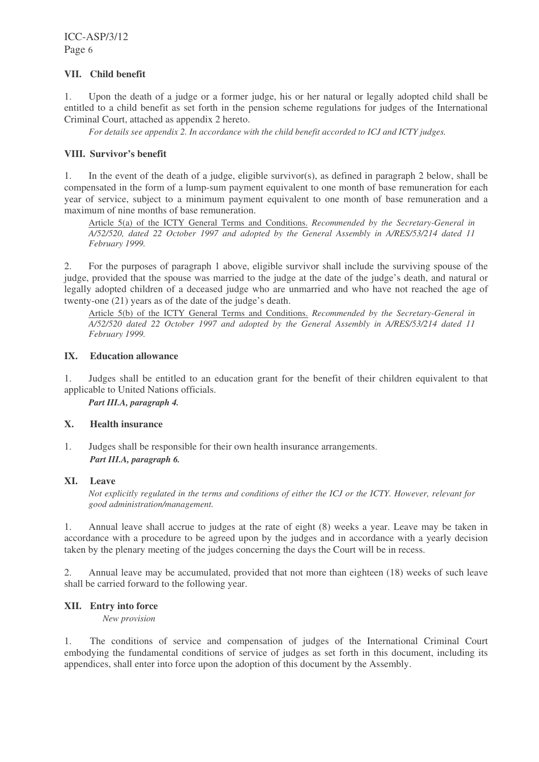### **VII. Child benefit**

1. Upon the death of a judge or a former judge, his or her natural or legally adopted child shall be entitled to a child benefit as set forth in the pension scheme regulations for judges of the International Criminal Court, attached as appendix 2 hereto.

*For details see appendix 2. In accordance with the child benefit accorded to ICJ and ICTY judges.*

### **VIII. Survivor's benefit**

1. In the event of the death of a judge, eligible survivor(s), as defined in paragraph 2 below, shall be compensated in the form of a lump-sum payment equivalent to one month of base remuneration for each year of service, subject to a minimum payment equivalent to one month of base remuneration and a maximum of nine months of base remuneration.

Article 5(a) of the ICTY General Terms and Conditions. *Recommended by the Secretary-General in A/52/520, dated 22 October 1997 and adopted by the General Assembly in A/RES/53/214 dated 11 February 1999.*

2. For the purposes of paragraph 1 above, eligible survivor shall include the surviving spouse of the judge, provided that the spouse was married to the judge at the date of the judge's death, and natural or legally adopted children of a deceased judge who are unmarried and who have not reached the age of twenty-one (21) years as of the date of the judge's death.

Article 5(b) of the ICTY General Terms and Conditions. *Recommended by the Secretary-General in A/52/520 dated 22 October 1997 and adopted by the General Assembly in A/RES/53/214 dated 11 February 1999.*

# **IX. Education allowance**

1. Judges shall be entitled to an education grant for the benefit of their children equivalent to that applicable to United Nations officials.

*Part III.A, paragraph 4.*

#### **X. Health insurance**

1. Judges shall be responsible for their own health insurance arrangements. *Part III.A, paragraph 6.*

#### **XI. Leave**

Not explicitly regulated in the terms and conditions of either the ICJ or the ICTY. However, relevant for *good administration/management.*

1. Annual leave shall accrue to judges at the rate of eight (8) weeks a year. Leave may be taken in accordance with a procedure to be agreed upon by the judges and in accordance with a yearly decision taken by the plenary meeting of the judges concerning the days the Court will be in recess.

2. Annual leave may be accumulated, provided that not more than eighteen (18) weeks of such leave shall be carried forward to the following year.

#### **XII. Entry into force**

*New provision*

1. The conditions of service and compensation of judges of the International Criminal Court embodying the fundamental conditions of service of judges as set forth in this document, including its appendices, shall enter into force upon the adoption of this document by the Assembly.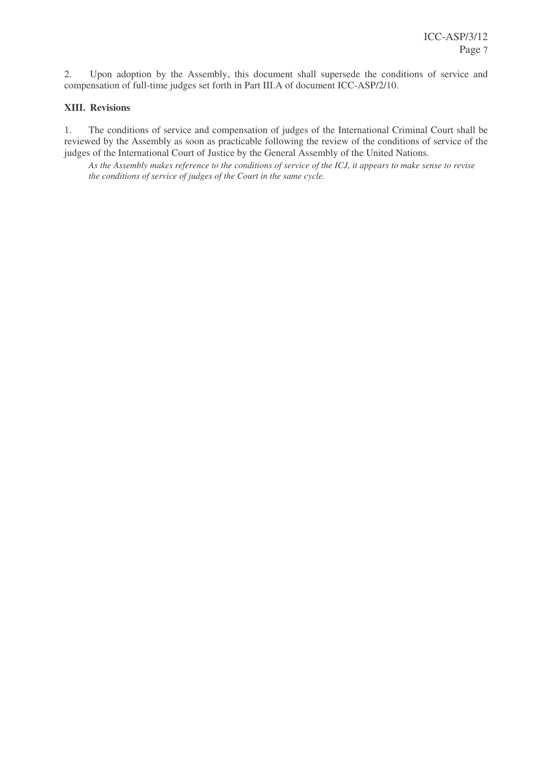2. Upon adoption by the Assembly, this document shall supersede the conditions of service and compensation of full-time judges set forth in Part III.A of document ICC-ASP/2/10.

### **XIII. Revisions**

1. The conditions of service and compensation of judges of the International Criminal Court shall be reviewed by the Assembly as soon as practicable following the review of the conditions of service of the judges of the International Court of Justice by the General Assembly of the United Nations.

As the Assembly makes reference to the conditions of service of the ICJ, it appears to make sense to revise *the conditions of service of judges of the Court in the same cycle.*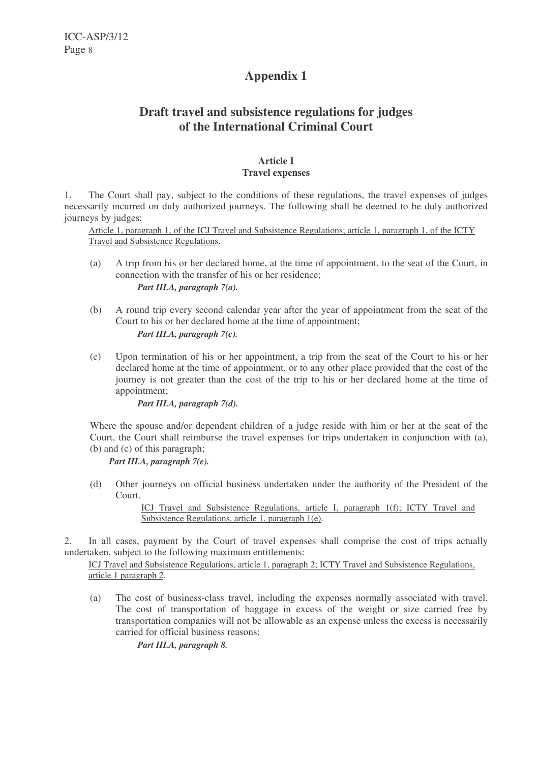# **Draft travel and subsistence regulations for judges of the International Criminal Court**

### **Article I Travel expenses**

1. The Court shall pay, subject to the conditions of these regulations, the travel expenses of judges necessarily incurred on duly authorized journeys. The following shall be deemed to be duly authorized journeys by judges:

Article 1, paragraph 1, of the ICJ Travel and Subsistence Regulations; article 1, paragraph 1, of the ICTY Travel and Subsistence Regulations.

- (a) A trip from his or her declared home, at the time of appointment, to the seat of the Court, in connection with the transfer of his or her residence; *Part III.A, paragraph 7(a).*
- (b) A round trip every second calendar year after the year of appointment from the seat of the Court to his or her declared home at the time of appointment; *Part III.A, paragraph 7(c).*
- (c) Upon termination of his or her appointment, a trip from the seat of the Court to his or her declared home at the time of appointment, or to any other place provided that the cost of the journey is not greater than the cost of the trip to his or her declared home at the time of appointment;

*Part III.A, paragraph 7(d).*

Where the spouse and/or dependent children of a judge reside with him or her at the seat of the Court, the Court shall reimburse the travel expenses for trips undertaken in conjunction with (a), (b) and (c) of this paragraph;

*Part III.A, paragraph 7(e).*

(d) Other journeys on official business undertaken under the authority of the President of the Court.

> ICJ Travel and Subsistence Regulations, article I, paragraph 1(f); ICTY Travel and Subsistence Regulations, article 1, paragraph 1(e).

2. In all cases, payment by the Court of travel expenses shall comprise the cost of trips actually undertaken, subject to the following maximum entitlements:

ICJ Travel and Subsistence Regulations, article 1, paragraph 2; ICTY Travel and Subsistence Regulations, article 1 paragraph 2.

(a) The cost of business-class travel, including the expenses normally associated with travel. The cost of transportation of baggage in excess of the weight or size carried free by transportation companies will not be allowable as an expense unless the excess is necessarily carried for official business reasons;

*Part III.A, paragraph 8.*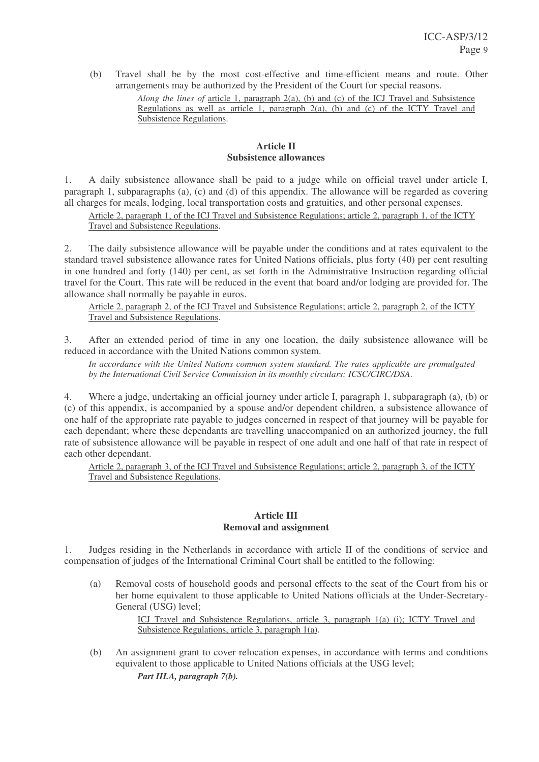(b) Travel shall be by the most cost-effective and time-efficient means and route. Other arrangements may be authorized by the President of the Court for special reasons.

> *Along the lines of* article 1, paragraph 2(a), (b) and (c) of the ICJ Travel and Subsistence Regulations as well as article 1, paragraph 2(a), (b) and (c) of the ICTY Travel and Subsistence Regulations.

### **Article II Subsistence allowances**

1. A daily subsistence allowance shall be paid to a judge while on official travel under article I, paragraph 1, subparagraphs (a), (c) and (d) of this appendix. The allowance will be regarded as covering all charges for meals, lodging, local transportation costs and gratuities, and other personal expenses.

Article 2, paragraph 1, of the ICJ Travel and Subsistence Regulations; article 2, paragraph 1, of the ICTY Travel and Subsistence Regulations.

2. The daily subsistence allowance will be payable under the conditions and at rates equivalent to the standard travel subsistence allowance rates for United Nations officials, plus forty (40) per cent resulting in one hundred and forty (140) per cent, as set forth in the Administrative Instruction regarding official travel for the Court. This rate will be reduced in the event that board and/or lodging are provided for. The allowance shall normally be payable in euros.

Article 2, paragraph 2, of the ICJ Travel and Subsistence Regulations; article 2, paragraph 2, of the ICTY Travel and Subsistence Regulations.

3. After an extended period of time in any one location, the daily subsistence allowance will be reduced in accordance with the United Nations common system.

*In accordance with the United Nations common system standard. The rates applicable are promulgated by the International Civil Service Commission in its monthly circulars: ICSC/CIRC/DSA*.

4. Where a judge, undertaking an official journey under article I, paragraph 1, subparagraph (a), (b) or (c) of this appendix, is accompanied by a spouse and/or dependent children, a subsistence allowance of one half of the appropriate rate payable to judges concerned in respect of that journey will be payable for each dependant; where these dependants are travelling unaccompanied on an authorized journey, the full rate of subsistence allowance will be payable in respect of one adult and one half of that rate in respect of each other dependant.

Article 2, paragraph 3, of the ICJ Travel and Subsistence Regulations; article 2, paragraph 3, of the ICTY Travel and Subsistence Regulations.

#### **Article III Removal and assignment**

1. Judges residing in the Netherlands in accordance with article II of the conditions of service and compensation of judges of the International Criminal Court shall be entitled to the following:

(a) Removal costs of household goods and personal effects to the seat of the Court from his or her home equivalent to those applicable to United Nations officials at the Under-Secretary-General (USG) level;

> ICJ Travel and Subsistence Regulations, article 3, paragraph 1(a) (i); ICTY Travel and Subsistence Regulations, article 3, paragraph 1(a).

(b) An assignment grant to cover relocation expenses, in accordance with terms and conditions equivalent to those applicable to United Nations officials at the USG level; *Part III.A, paragraph 7(b).*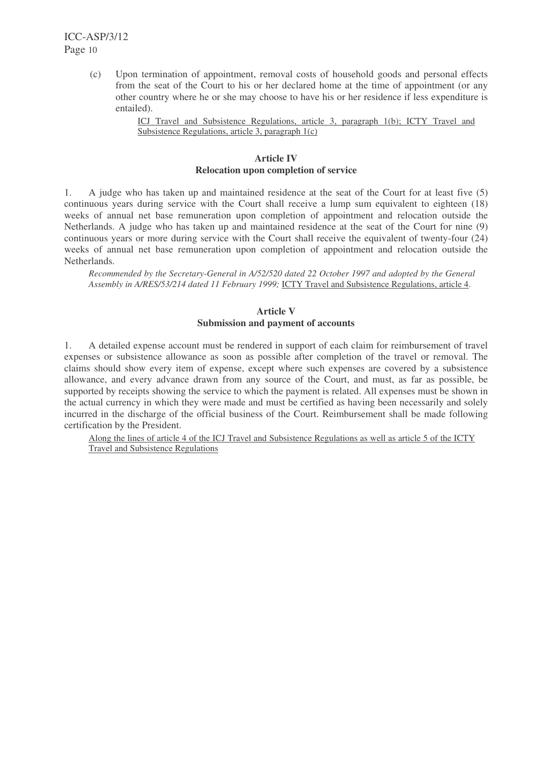(c) Upon termination of appointment, removal costs of household goods and personal effects from the seat of the Court to his or her declared home at the time of appointment (or any other country where he or she may choose to have his or her residence if less expenditure is entailed).

> ICJ Travel and Subsistence Regulations, article 3, paragraph 1(b); ICTY Travel and Subsistence Regulations, article 3, paragraph 1(c)

#### **Article IV Relocation upon completion of service**

1. A judge who has taken up and maintained residence at the seat of the Court for at least five (5) continuous years during service with the Court shall receive a lump sum equivalent to eighteen (18) weeks of annual net base remuneration upon completion of appointment and relocation outside the Netherlands. A judge who has taken up and maintained residence at the seat of the Court for nine (9) continuous years or more during service with the Court shall receive the equivalent of twenty-four (24) weeks of annual net base remuneration upon completion of appointment and relocation outside the Netherlands.

*Recommended by the Secretary-General in A/52/520 dated 22 October 1997 and adopted by the General Assembly in A/RES/53/214 dated 11 February 1999;* ICTY Travel and Subsistence Regulations, article 4.

### **Article V Submission and payment of accounts**

1. A detailed expense account must be rendered in support of each claim for reimbursement of travel expenses or subsistence allowance as soon as possible after completion of the travel or removal. The claims should show every item of expense, except where such expenses are covered by a subsistence allowance, and every advance drawn from any source of the Court, and must, as far as possible, be supported by receipts showing the service to which the payment is related. All expenses must be shown in the actual currency in which they were made and must be certified as having been necessarily and solely incurred in the discharge of the official business of the Court. Reimbursement shall be made following certification by the President.

Along the lines of article 4 of the ICJ Travel and Subsistence Regulations as well as article 5 of the ICTY Travel and Subsistence Regulations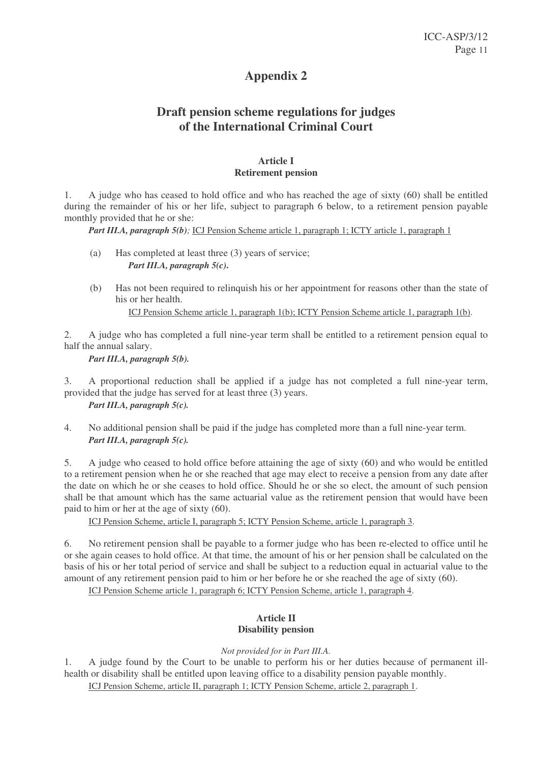# **Draft pension scheme regulations for judges of the International Criminal Court**

### **Article I Retirement pension**

1. A judge who has ceased to hold office and who has reached the age of sixty (60) shall be entitled during the remainder of his or her life, subject to paragraph 6 below, to a retirement pension payable monthly provided that he or she:

*Part III.A, paragraph 5(b);* ICJ Pension Scheme article 1, paragraph 1; ICTY article 1, paragraph 1

- (a) Has completed at least three (3) years of service; *Part III.A, paragraph 5(c)***.**
- (b) Has not been required to relinquish his or her appointment for reasons other than the state of his or her health.

ICJ Pension Scheme article 1, paragraph 1(b); ICTY Pension Scheme article 1, paragraph 1(b).

2. A judge who has completed a full nine-year term shall be entitled to a retirement pension equal to half the annual salary.

*Part III.A, paragraph 5(b).*

3. A proportional reduction shall be applied if a judge has not completed a full nine-year term, provided that the judge has served for at least three (3) years. *Part III.A, paragraph 5(c).*

4. No additional pension shall be paid if the judge has completed more than a full nine-year term. *Part III.A, paragraph 5(c).*

5. A judge who ceased to hold office before attaining the age of sixty (60) and who would be entitled to a retirement pension when he or she reached that age may elect to receive a pension from any date after the date on which he or she ceases to hold office. Should he or she so elect, the amount of such pension shall be that amount which has the same actuarial value as the retirement pension that would have been paid to him or her at the age of sixty (60).

ICJ Pension Scheme, article I, paragraph 5; ICTY Pension Scheme, article 1, paragraph 3.

6. No retirement pension shall be payable to a former judge who has been re-elected to office until he or she again ceases to hold office. At that time, the amount of his or her pension shall be calculated on the basis of his or her total period of service and shall be subject to a reduction equal in actuarial value to the amount of any retirement pension paid to him or her before he or she reached the age of sixty (60).

ICJ Pension Scheme article 1, paragraph 6; ICTY Pension Scheme, article 1, paragraph 4.

# **Article II Disability pension**

# *Not provided for in Part III.A.*

1. A judge found by the Court to be unable to perform his or her duties because of permanent illhealth or disability shall be entitled upon leaving office to a disability pension payable monthly.

ICJ Pension Scheme, article II, paragraph 1; ICTY Pension Scheme, article 2, paragraph 1.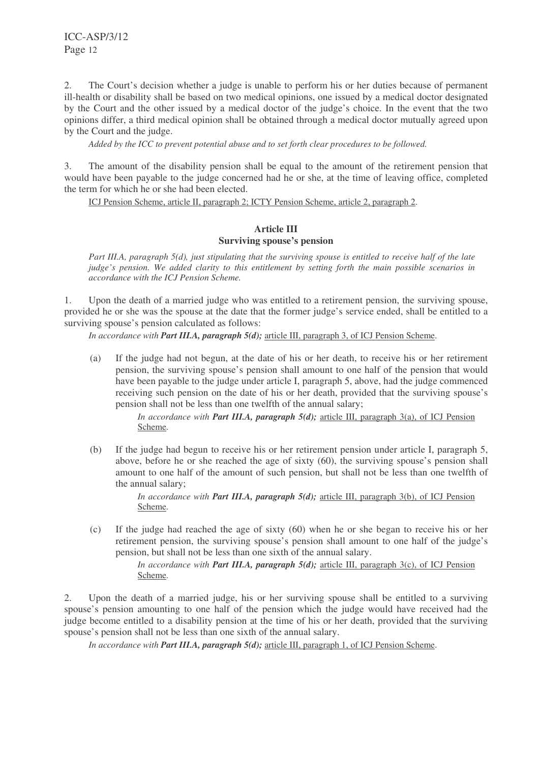2. The Court's decision whether a judge is unable to perform his or her duties because of permanent ill-health or disability shall be based on two medical opinions, one issued by a medical doctor designated by the Court and the other issued by a medical doctor of the judge's choice. In the event that the two opinions differ, a third medical opinion shall be obtained through a medical doctor mutually agreed upon by the Court and the judge.

*Added by the ICC to prevent potential abuse and to set forth clear procedures to be followed.*

3. The amount of the disability pension shall be equal to the amount of the retirement pension that would have been payable to the judge concerned had he or she, at the time of leaving office, completed the term for which he or she had been elected.

ICJ Pension Scheme, article II, paragraph 2; ICTY Pension Scheme, article 2, paragraph 2.

#### **Article III Surviving spouse's pension**

Part III.A, paragraph  $5(d)$ , just stipulating that the surviving spouse is entitled to receive half of the late *judge's pension. We added clarity to this entitlement by setting forth the main possible scenarios in accordance with the ICJ Pension Scheme.*

1. Upon the death of a married judge who was entitled to a retirement pension, the surviving spouse, provided he or she was the spouse at the date that the former judge's service ended, shall be entitled to a surviving spouse's pension calculated as follows:

*In accordance with Part III.A, paragraph 5(d);* article III, paragraph 3, of ICJ Pension Scheme.

(a) If the judge had not begun, at the date of his or her death, to receive his or her retirement pension, the surviving spouse's pension shall amount to one half of the pension that would have been payable to the judge under article I, paragraph 5, above, had the judge commenced receiving such pension on the date of his or her death, provided that the surviving spouse's pension shall not be less than one twelfth of the annual salary;

> *In accordance with Part III.A, paragraph 5(d);* article III, paragraph 3(a), of ICJ Pension Scheme.

(b) If the judge had begun to receive his or her retirement pension under article I, paragraph 5, above, before he or she reached the age of sixty (60), the surviving spouse's pension shall amount to one half of the amount of such pension, but shall not be less than one twelfth of the annual salary;

> *In accordance with Part III.A, paragraph 5(d);* article III, paragraph 3(b), of ICJ Pension Scheme.

(c) If the judge had reached the age of sixty (60) when he or she began to receive his or her retirement pension, the surviving spouse's pension shall amount to one half of the judge's pension, but shall not be less than one sixth of the annual salary.

> *In accordance with Part III.A, paragraph 5(d);* article III, paragraph 3(c), of ICJ Pension Scheme.

2. Upon the death of a married judge, his or her surviving spouse shall be entitled to a surviving spouse's pension amounting to one half of the pension which the judge would have received had the judge become entitled to a disability pension at the time of his or her death, provided that the surviving spouse's pension shall not be less than one sixth of the annual salary.

*In accordance with Part III.A, paragraph 5(d);* article III, paragraph 1, of ICJ Pension Scheme.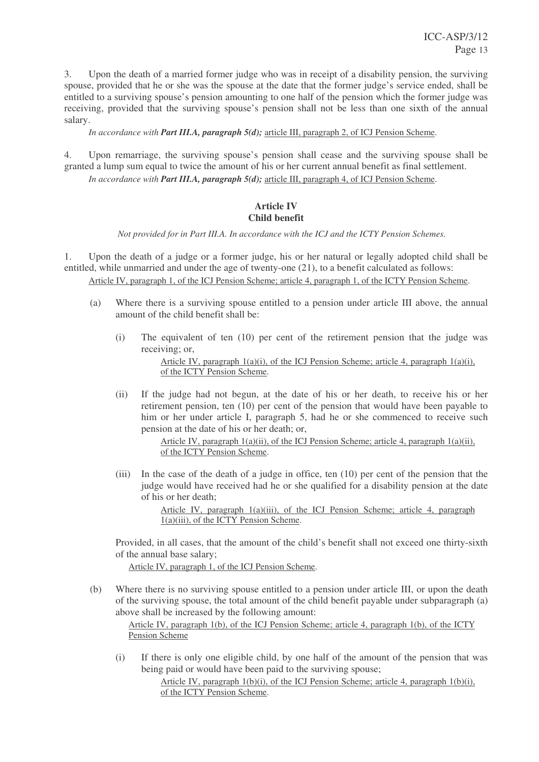3. Upon the death of a married former judge who was in receipt of a disability pension, the surviving spouse, provided that he or she was the spouse at the date that the former judge's service ended, shall be entitled to a surviving spouse's pension amounting to one half of the pension which the former judge was receiving, provided that the surviving spouse's pension shall not be less than one sixth of the annual salary.

*In accordance with Part III.A, paragraph 5(d);* article III, paragraph 2, of ICJ Pension Scheme.

4. Upon remarriage, the surviving spouse's pension shall cease and the surviving spouse shall be granted a lump sum equal to twice the amount of his or her current annual benefit as final settlement. *In accordance with Part III.A, paragraph 5(d);* article III, paragraph 4, of ICJ Pension Scheme.

# **Article IV Child benefit**

*Not provided for in Part III.A. In accordance with the ICJ and the ICTY Pension Schemes.*

1. Upon the death of a judge or a former judge, his or her natural or legally adopted child shall be entitled, while unmarried and under the age of twenty-one (21), to a benefit calculated as follows: Article IV, paragraph 1, of the ICJ Pension Scheme; article 4, paragraph 1, of the ICTY Pension Scheme.

- (a) Where there is a surviving spouse entitled to a pension under article III above, the annual amount of the child benefit shall be:
	- (i) The equivalent of ten (10) per cent of the retirement pension that the judge was receiving; or,

Article IV, paragraph 1(a)(i), of the ICJ Pension Scheme; article 4, paragraph 1(a)(i), of the ICTY Pension Scheme.

(ii) If the judge had not begun, at the date of his or her death, to receive his or her retirement pension, ten (10) per cent of the pension that would have been payable to him or her under article I, paragraph 5, had he or she commenced to receive such pension at the date of his or her death; or,

> Article IV, paragraph  $1(a)(ii)$ , of the ICJ Pension Scheme; article 4, paragraph  $1(a)(ii)$ , of the ICTY Pension Scheme.

(iii) In the case of the death of a judge in office, ten (10) per cent of the pension that the judge would have received had he or she qualified for a disability pension at the date of his or her death;

> Article IV, paragraph 1(a)(iii), of the ICJ Pension Scheme; article 4, paragraph 1(a)(iii), of the ICTY Pension Scheme.

Provided, in all cases, that the amount of the child's benefit shall not exceed one thirty-sixth of the annual base salary;

Article IV, paragraph 1, of the ICJ Pension Scheme.

(b) Where there is no surviving spouse entitled to a pension under article III, or upon the death of the surviving spouse, the total amount of the child benefit payable under subparagraph (a) above shall be increased by the following amount:

Article IV, paragraph 1(b), of the ICJ Pension Scheme; article 4, paragraph 1(b), of the ICTY Pension Scheme

(i) If there is only one eligible child, by one half of the amount of the pension that was being paid or would have been paid to the surviving spouse;

> Article IV, paragraph  $1(b)(i)$ , of the ICJ Pension Scheme; article 4, paragraph  $1(b)(i)$ , of the ICTY Pension Scheme.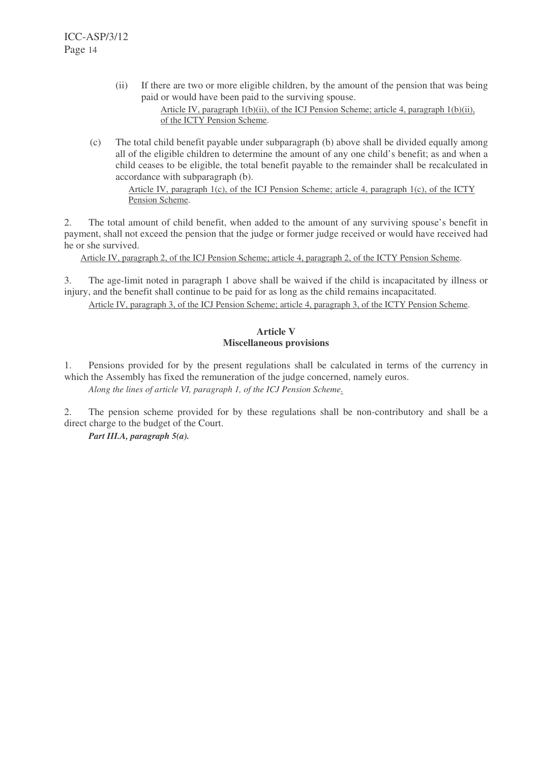- (ii) If there are two or more eligible children, by the amount of the pension that was being paid or would have been paid to the surviving spouse. Article IV, paragraph 1(b)(ii), of the ICJ Pension Scheme; article 4, paragraph 1(b)(ii), of the ICTY Pension Scheme.
- (c) The total child benefit payable under subparagraph (b) above shall be divided equally among all of the eligible children to determine the amount of any one child's benefit; as and when a child ceases to be eligible, the total benefit payable to the remainder shall be recalculated in accordance with subparagraph (b).

Article IV, paragraph 1(c), of the ICJ Pension Scheme; article 4, paragraph 1(c), of the ICTY Pension Scheme.

2. The total amount of child benefit, when added to the amount of any surviving spouse's benefit in payment, shall not exceed the pension that the judge or former judge received or would have received had he or she survived.

Article IV, paragraph 2, of the ICJ Pension Scheme; article 4, paragraph 2, of the ICTY Pension Scheme.

3. The age-limit noted in paragraph 1 above shall be waived if the child is incapacitated by illness or injury, and the benefit shall continue to be paid for as long as the child remains incapacitated.

Article IV, paragraph 3, of the ICJ Pension Scheme; article 4, paragraph 3, of the ICTY Pension Scheme.

### **Article V Miscellaneous provisions**

1. Pensions provided for by the present regulations shall be calculated in terms of the currency in which the Assembly has fixed the remuneration of the judge concerned, namely euros. *Along the lines of article VI, paragraph 1, of the ICJ Pension Scheme.*

2. The pension scheme provided for by these regulations shall be non-contributory and shall be a direct charge to the budget of the Court.

*Part III.A, paragraph 5(a).*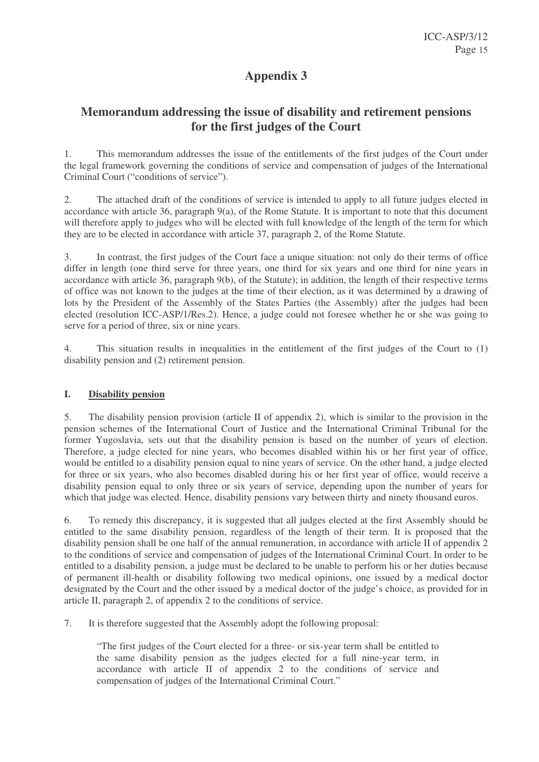# **Memorandum addressing the issue of disability and retirement pensions for the first judges of the Court**

1. This memorandum addresses the issue of the entitlements of the first judges of the Court under the legal framework governing the conditions of service and compensation of judges of the International Criminal Court ("conditions of service").

2. The attached draft of the conditions of service is intended to apply to all future judges elected in accordance with article 36, paragraph 9(a), of the Rome Statute. It is important to note that this document will therefore apply to judges who will be elected with full knowledge of the length of the term for which they are to be elected in accordance with article 37, paragraph 2, of the Rome Statute.

3. In contrast, the first judges of the Court face a unique situation: not only do their terms of office differ in length (one third serve for three years, one third for six years and one third for nine years in accordance with article 36, paragraph 9(b), of the Statute); in addition, the length of their respective terms of office was not known to the judges at the time of their election, as it was determined by a drawing of lots by the President of the Assembly of the States Parties (the Assembly) after the judges had been elected (resolution ICC-ASP/1/Res.2). Hence, a judge could not foresee whether he or she was going to serve for a period of three, six or nine years.

4. This situation results in inequalities in the entitlement of the first judges of the Court to (1) disability pension and (2) retirement pension.

# **I. Disability pension**

5. The disability pension provision (article II of appendix 2), which is similar to the provision in the pension schemes of the International Court of Justice and the International Criminal Tribunal for the former Yugoslavia, sets out that the disability pension is based on the number of years of election. Therefore, a judge elected for nine years, who becomes disabled within his or her first year of office, would be entitled to a disability pension equal to nine years of service. On the other hand, a judge elected for three or six years, who also becomes disabled during his or her first year of office, would receive a disability pension equal to only three or six years of service, depending upon the number of years for which that judge was elected. Hence, disability pensions vary between thirty and ninety thousand euros.

6. To remedy this discrepancy, it is suggested that all judges elected at the first Assembly should be entitled to the same disability pension, regardless of the length of their term. It is proposed that the disability pension shall be one half of the annual remuneration, in accordance with article II of appendix 2 to the conditions of service and compensation of judges of the International Criminal Court. In order to be entitled to a disability pension, a judge must be declared to be unable to perform his or her duties because of permanent ill-health or disability following two medical opinions, one issued by a medical doctor designated by the Court and the other issued by a medical doctor of the judge's choice, as provided for in article II, paragraph 2, of appendix 2 to the conditions of service.

7. It is therefore suggested that the Assembly adopt the following proposal:

"The first judges of the Court elected for a three- or six-year term shall be entitled to the same disability pension as the judges elected for a full nine-year term, in accordance with article II of appendix 2 to the conditions of service and compensation of judges of the International Criminal Court."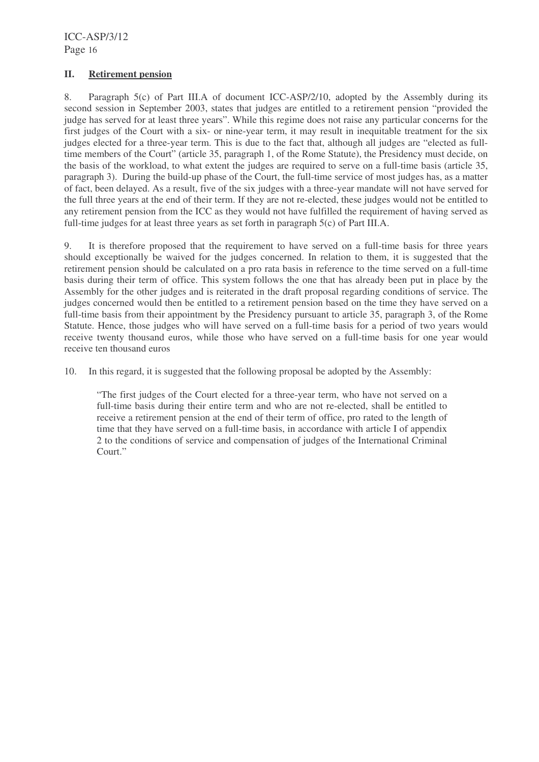### **II. Retirement pension**

8. Paragraph 5(c) of Part III.A of document ICC-ASP/2/10, adopted by the Assembly during its second session in September 2003, states that judges are entitled to a retirement pension "provided the judge has served for at least three years". While this regime does not raise any particular concerns for the first judges of the Court with a six- or nine-year term, it may result in inequitable treatment for the six judges elected for a three-year term. This is due to the fact that, although all judges are "elected as fulltime members of the Court" (article 35, paragraph 1, of the Rome Statute), the Presidency must decide, on the basis of the workload, to what extent the judges are required to serve on a full-time basis (article 35, paragraph 3). During the build-up phase of the Court, the full-time service of most judges has, as a matter of fact, been delayed. As a result, five of the six judges with a three-year mandate will not have served for the full three years at the end of their term. If they are not re-elected, these judges would not be entitled to any retirement pension from the ICC as they would not have fulfilled the requirement of having served as full-time judges for at least three years as set forth in paragraph 5(c) of Part III.A.

9. It is therefore proposed that the requirement to have served on a full-time basis for three years should exceptionally be waived for the judges concerned. In relation to them, it is suggested that the retirement pension should be calculated on a pro rata basis in reference to the time served on a full-time basis during their term of office. This system follows the one that has already been put in place by the Assembly for the other judges and is reiterated in the draft proposal regarding conditions of service. The judges concerned would then be entitled to a retirement pension based on the time they have served on a full-time basis from their appointment by the Presidency pursuant to article 35, paragraph 3, of the Rome Statute. Hence, those judges who will have served on a full-time basis for a period of two years would receive twenty thousand euros, while those who have served on a full-time basis for one year would receive ten thousand euros

10. In this regard, it is suggested that the following proposal be adopted by the Assembly:

"The first judges of the Court elected for a three-year term, who have not served on a full-time basis during their entire term and who are not re-elected, shall be entitled to receive a retirement pension at the end of their term of office, pro rated to the length of time that they have served on a full-time basis, in accordance with article I of appendix 2 to the conditions of service and compensation of judges of the International Criminal Court."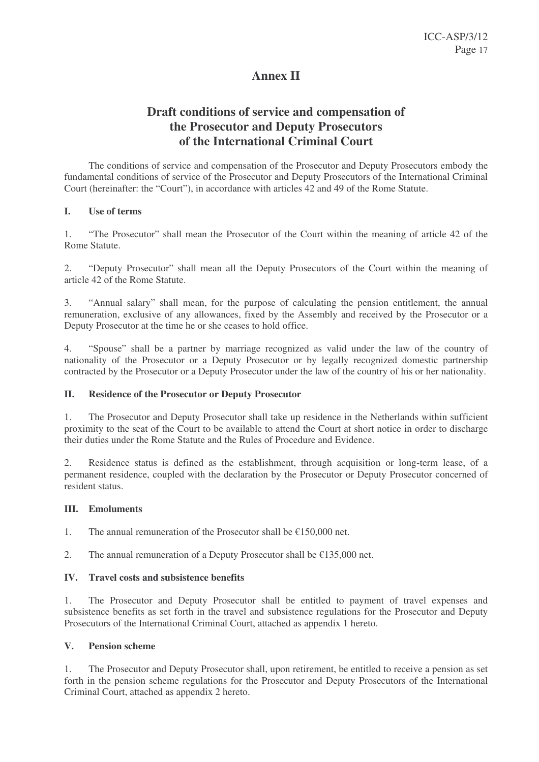# **Annex II**

# **Draft conditions of service and compensation of the Prosecutor and Deputy Prosecutors of the International Criminal Court**

The conditions of service and compensation of the Prosecutor and Deputy Prosecutors embody the fundamental conditions of service of the Prosecutor and Deputy Prosecutors of the International Criminal Court (hereinafter: the "Court"), in accordance with articles 42 and 49 of the Rome Statute.

#### **I. Use of terms**

1. "The Prosecutor" shall mean the Prosecutor of the Court within the meaning of article 42 of the Rome Statute.

2. "Deputy Prosecutor" shall mean all the Deputy Prosecutors of the Court within the meaning of article 42 of the Rome Statute.

3. "Annual salary" shall mean, for the purpose of calculating the pension entitlement, the annual remuneration, exclusive of any allowances, fixed by the Assembly and received by the Prosecutor or a Deputy Prosecutor at the time he or she ceases to hold office.

4. "Spouse" shall be a partner by marriage recognized as valid under the law of the country of nationality of the Prosecutor or a Deputy Prosecutor or by legally recognized domestic partnership contracted by the Prosecutor or a Deputy Prosecutor under the law of the country of his or her nationality.

# **II. Residence of the Prosecutor or Deputy Prosecutor**

1. The Prosecutor and Deputy Prosecutor shall take up residence in the Netherlands within sufficient proximity to the seat of the Court to be available to attend the Court at short notice in order to discharge their duties under the Rome Statute and the Rules of Procedure and Evidence.

2. Residence status is defined as the establishment, through acquisition or long-term lease, of a permanent residence, coupled with the declaration by the Prosecutor or Deputy Prosecutor concerned of resident status.

#### **III. Emoluments**

1. The annual remuneration of the Prosecutor shall be  $\epsilon$ 150,000 net.

2. The annual remuneration of a Deputy Prosecutor shall be  $£135,000$  net.

# **IV. Travel costs and subsistence benefits**

1. The Prosecutor and Deputy Prosecutor shall be entitled to payment of travel expenses and subsistence benefits as set forth in the travel and subsistence regulations for the Prosecutor and Deputy Prosecutors of the International Criminal Court, attached as appendix 1 hereto.

#### **V. Pension scheme**

1. The Prosecutor and Deputy Prosecutor shall, upon retirement, be entitled to receive a pension as set forth in the pension scheme regulations for the Prosecutor and Deputy Prosecutors of the International Criminal Court, attached as appendix 2 hereto.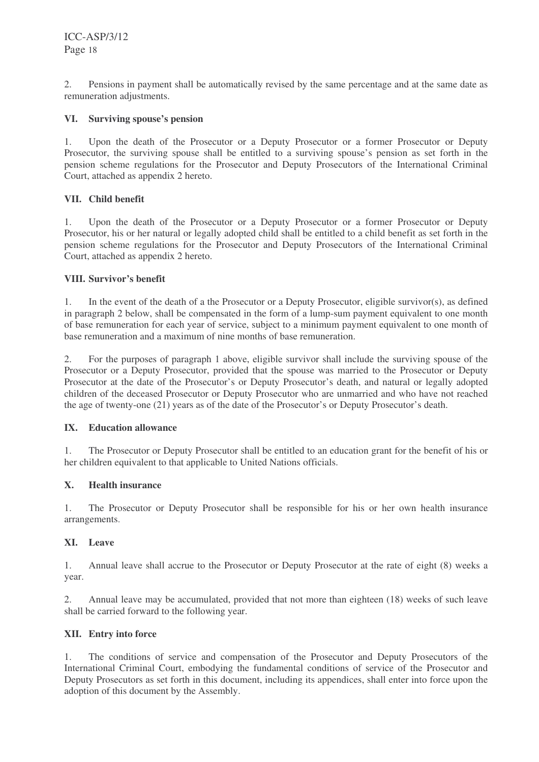2. Pensions in payment shall be automatically revised by the same percentage and at the same date as remuneration adjustments.

### **VI. Surviving spouse's pension**

1. Upon the death of the Prosecutor or a Deputy Prosecutor or a former Prosecutor or Deputy Prosecutor, the surviving spouse shall be entitled to a surviving spouse's pension as set forth in the pension scheme regulations for the Prosecutor and Deputy Prosecutors of the International Criminal Court, attached as appendix 2 hereto.

### **VII. Child benefit**

1. Upon the death of the Prosecutor or a Deputy Prosecutor or a former Prosecutor or Deputy Prosecutor, his or her natural or legally adopted child shall be entitled to a child benefit as set forth in the pension scheme regulations for the Prosecutor and Deputy Prosecutors of the International Criminal Court, attached as appendix 2 hereto.

### **VIII. Survivor's benefit**

1. In the event of the death of a the Prosecutor or a Deputy Prosecutor, eligible survivor(s), as defined in paragraph 2 below, shall be compensated in the form of a lump-sum payment equivalent to one month of base remuneration for each year of service, subject to a minimum payment equivalent to one month of base remuneration and a maximum of nine months of base remuneration.

2. For the purposes of paragraph 1 above, eligible survivor shall include the surviving spouse of the Prosecutor or a Deputy Prosecutor, provided that the spouse was married to the Prosecutor or Deputy Prosecutor at the date of the Prosecutor's or Deputy Prosecutor's death, and natural or legally adopted children of the deceased Prosecutor or Deputy Prosecutor who are unmarried and who have not reached the age of twenty-one (21) years as of the date of the Prosecutor's or Deputy Prosecutor's death.

#### **IX. Education allowance**

1. The Prosecutor or Deputy Prosecutor shall be entitled to an education grant for the benefit of his or her children equivalent to that applicable to United Nations officials.

# **X. Health insurance**

1. The Prosecutor or Deputy Prosecutor shall be responsible for his or her own health insurance arrangements.

#### **XI. Leave**

1. Annual leave shall accrue to the Prosecutor or Deputy Prosecutor at the rate of eight (8) weeks a year.

2. Annual leave may be accumulated, provided that not more than eighteen (18) weeks of such leave shall be carried forward to the following year.

#### **XII. Entry into force**

1. The conditions of service and compensation of the Prosecutor and Deputy Prosecutors of the International Criminal Court, embodying the fundamental conditions of service of the Prosecutor and Deputy Prosecutors as set forth in this document, including its appendices, shall enter into force upon the adoption of this document by the Assembly.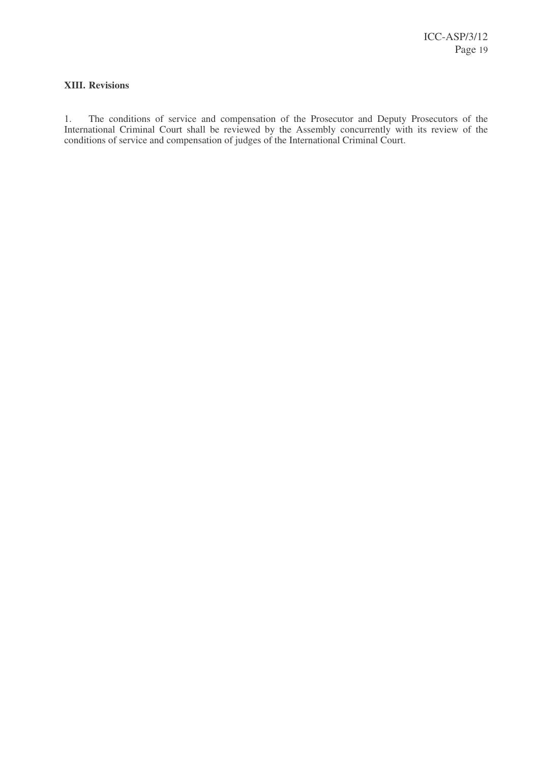# **XIII. Revisions**

1. The conditions of service and compensation of the Prosecutor and Deputy Prosecutors of the International Criminal Court shall be reviewed by the Assembly concurrently with its review of the conditions of service and compensation of judges of the International Criminal Court.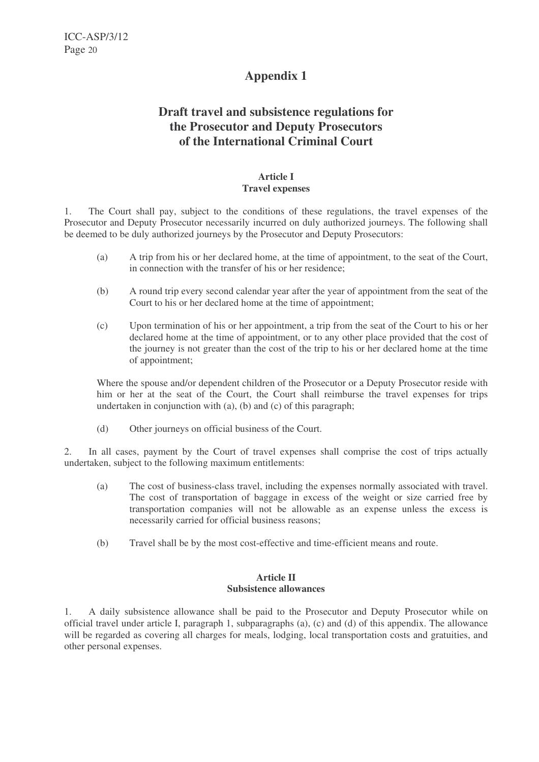# **Draft travel and subsistence regulations for the Prosecutor and Deputy Prosecutors of the International Criminal Court**

#### **Article I Travel expenses**

1. The Court shall pay, subject to the conditions of these regulations, the travel expenses of the Prosecutor and Deputy Prosecutor necessarily incurred on duly authorized journeys. The following shall be deemed to be duly authorized journeys by the Prosecutor and Deputy Prosecutors:

- (a) A trip from his or her declared home, at the time of appointment, to the seat of the Court, in connection with the transfer of his or her residence;
- (b) A round trip every second calendar year after the year of appointment from the seat of the Court to his or her declared home at the time of appointment;
- (c) Upon termination of his or her appointment, a trip from the seat of the Court to his or her declared home at the time of appointment, or to any other place provided that the cost of the journey is not greater than the cost of the trip to his or her declared home at the time of appointment;

Where the spouse and/or dependent children of the Prosecutor or a Deputy Prosecutor reside with him or her at the seat of the Court, the Court shall reimburse the travel expenses for trips undertaken in conjunction with (a), (b) and (c) of this paragraph;

(d) Other journeys on official business of the Court.

2. In all cases, payment by the Court of travel expenses shall comprise the cost of trips actually undertaken, subject to the following maximum entitlements:

- (a) The cost of business-class travel, including the expenses normally associated with travel. The cost of transportation of baggage in excess of the weight or size carried free by transportation companies will not be allowable as an expense unless the excess is necessarily carried for official business reasons;
- (b) Travel shall be by the most cost-effective and time-efficient means and route.

#### **Article II Subsistence allowances**

1. A daily subsistence allowance shall be paid to the Prosecutor and Deputy Prosecutor while on official travel under article I, paragraph 1, subparagraphs (a), (c) and (d) of this appendix. The allowance will be regarded as covering all charges for meals, lodging, local transportation costs and gratuities, and other personal expenses.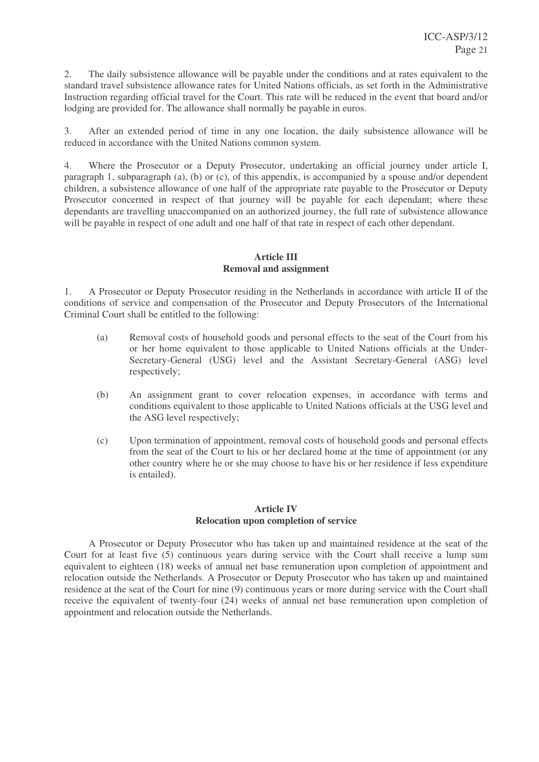2. The daily subsistence allowance will be payable under the conditions and at rates equivalent to the standard travel subsistence allowance rates for United Nations officials, as set forth in the Administrative Instruction regarding official travel for the Court. This rate will be reduced in the event that board and/or lodging are provided for. The allowance shall normally be payable in euros.

3. After an extended period of time in any one location, the daily subsistence allowance will be reduced in accordance with the United Nations common system.

4. Where the Prosecutor or a Deputy Prosecutor, undertaking an official journey under article I, paragraph 1, subparagraph (a), (b) or (c), of this appendix, is accompanied by a spouse and/or dependent children, a subsistence allowance of one half of the appropriate rate payable to the Prosecutor or Deputy Prosecutor concerned in respect of that journey will be payable for each dependant; where these dependants are travelling unaccompanied on an authorized journey, the full rate of subsistence allowance will be payable in respect of one adult and one half of that rate in respect of each other dependant.

#### **Article III Removal and assignment**

1. A Prosecutor or Deputy Prosecutor residing in the Netherlands in accordance with article II of the conditions of service and compensation of the Prosecutor and Deputy Prosecutors of the International Criminal Court shall be entitled to the following:

- (a) Removal costs of household goods and personal effects to the seat of the Court from his or her home equivalent to those applicable to United Nations officials at the Under-Secretary-General (USG) level and the Assistant Secretary-General (ASG) level respectively;
- (b) An assignment grant to cover relocation expenses, in accordance with terms and conditions equivalent to those applicable to United Nations officials at the USG level and the ASG level respectively;
- (c) Upon termination of appointment, removal costs of household goods and personal effects from the seat of the Court to his or her declared home at the time of appointment (or any other country where he or she may choose to have his or her residence if less expenditure is entailed).

### **Article IV Relocation upon completion of service**

A Prosecutor or Deputy Prosecutor who has taken up and maintained residence at the seat of the Court for at least five (5) continuous years during service with the Court shall receive a lump sum equivalent to eighteen (18) weeks of annual net base remuneration upon completion of appointment and relocation outside the Netherlands. A Prosecutor or Deputy Prosecutor who has taken up and maintained residence at the seat of the Court for nine (9) continuous years or more during service with the Court shall receive the equivalent of twenty-four (24) weeks of annual net base remuneration upon completion of appointment and relocation outside the Netherlands.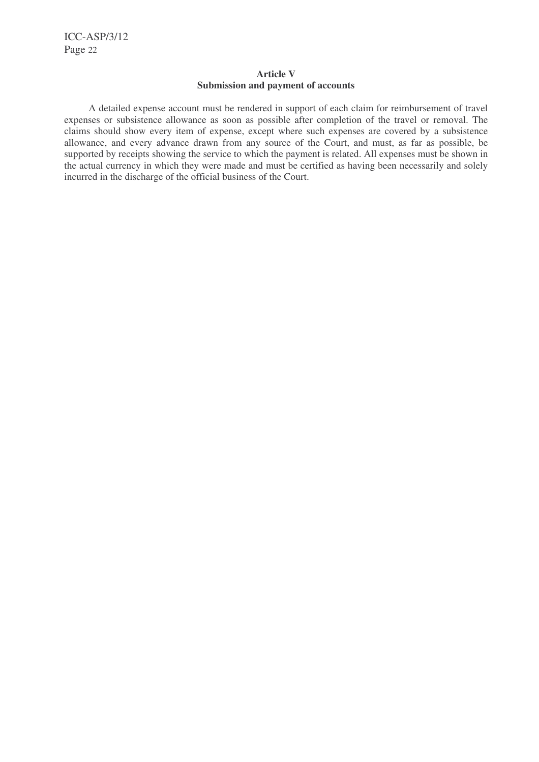### **Article V Submission and payment of accounts**

A detailed expense account must be rendered in support of each claim for reimbursement of travel expenses or subsistence allowance as soon as possible after completion of the travel or removal. The claims should show every item of expense, except where such expenses are covered by a subsistence allowance, and every advance drawn from any source of the Court, and must, as far as possible, be supported by receipts showing the service to which the payment is related. All expenses must be shown in the actual currency in which they were made and must be certified as having been necessarily and solely incurred in the discharge of the official business of the Court.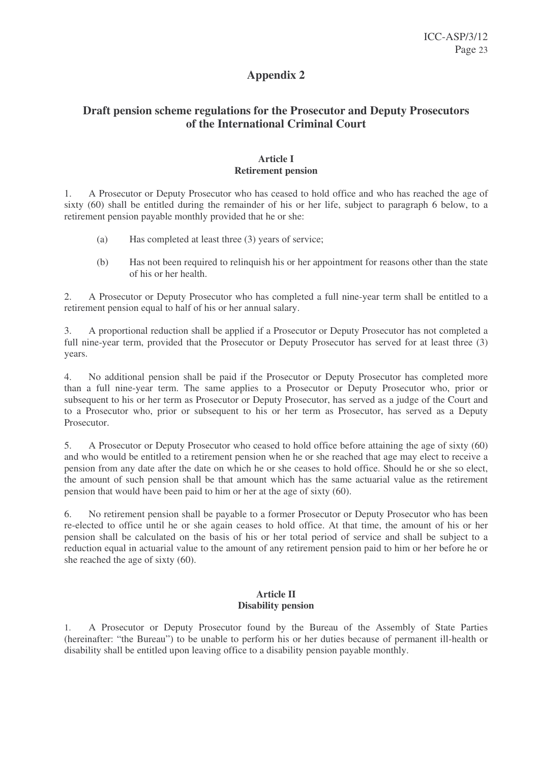# **Draft pension scheme regulations for the Prosecutor and Deputy Prosecutors of the International Criminal Court**

### **Article I Retirement pension**

1. A Prosecutor or Deputy Prosecutor who has ceased to hold office and who has reached the age of sixty (60) shall be entitled during the remainder of his or her life, subject to paragraph 6 below, to a retirement pension payable monthly provided that he or she:

- (a) Has completed at least three (3) years of service;
- (b) Has not been required to relinquish his or her appointment for reasons other than the state of his or her health.

2. A Prosecutor or Deputy Prosecutor who has completed a full nine-year term shall be entitled to a retirement pension equal to half of his or her annual salary.

3. A proportional reduction shall be applied if a Prosecutor or Deputy Prosecutor has not completed a full nine-year term, provided that the Prosecutor or Deputy Prosecutor has served for at least three (3) years.

4. No additional pension shall be paid if the Prosecutor or Deputy Prosecutor has completed more than a full nine-year term. The same applies to a Prosecutor or Deputy Prosecutor who, prior or subsequent to his or her term as Prosecutor or Deputy Prosecutor, has served as a judge of the Court and to a Prosecutor who, prior or subsequent to his or her term as Prosecutor, has served as a Deputy Prosecutor.

5. A Prosecutor or Deputy Prosecutor who ceased to hold office before attaining the age of sixty (60) and who would be entitled to a retirement pension when he or she reached that age may elect to receive a pension from any date after the date on which he or she ceases to hold office. Should he or she so elect, the amount of such pension shall be that amount which has the same actuarial value as the retirement pension that would have been paid to him or her at the age of sixty (60).

6. No retirement pension shall be payable to a former Prosecutor or Deputy Prosecutor who has been re-elected to office until he or she again ceases to hold office. At that time, the amount of his or her pension shall be calculated on the basis of his or her total period of service and shall be subject to a reduction equal in actuarial value to the amount of any retirement pension paid to him or her before he or she reached the age of sixty (60).

#### **Article II Disability pension**

1. A Prosecutor or Deputy Prosecutor found by the Bureau of the Assembly of State Parties (hereinafter: "the Bureau") to be unable to perform his or her duties because of permanent ill-health or disability shall be entitled upon leaving office to a disability pension payable monthly.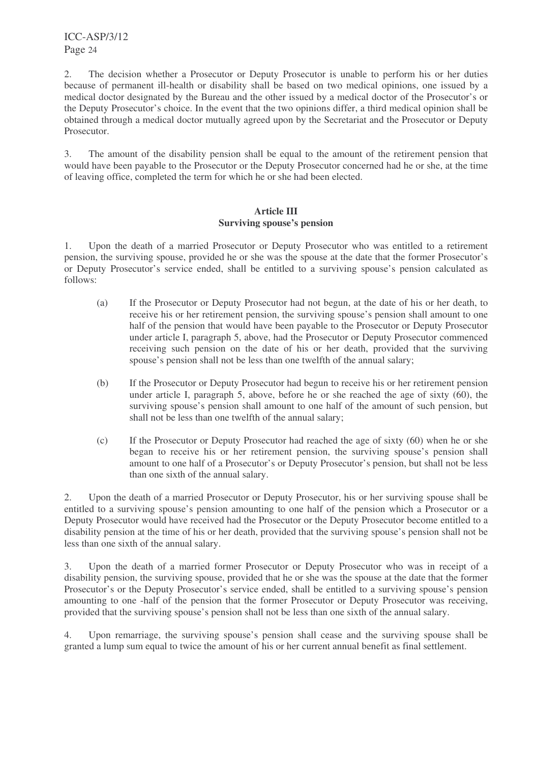2. The decision whether a Prosecutor or Deputy Prosecutor is unable to perform his or her duties because of permanent ill-health or disability shall be based on two medical opinions, one issued by a medical doctor designated by the Bureau and the other issued by a medical doctor of the Prosecutor's or the Deputy Prosecutor's choice. In the event that the two opinions differ, a third medical opinion shall be obtained through a medical doctor mutually agreed upon by the Secretariat and the Prosecutor or Deputy Prosecutor.

3. The amount of the disability pension shall be equal to the amount of the retirement pension that would have been payable to the Prosecutor or the Deputy Prosecutor concerned had he or she, at the time of leaving office, completed the term for which he or she had been elected.

### **Article III Surviving spouse's pension**

1. Upon the death of a married Prosecutor or Deputy Prosecutor who was entitled to a retirement pension, the surviving spouse, provided he or she was the spouse at the date that the former Prosecutor's or Deputy Prosecutor's service ended, shall be entitled to a surviving spouse's pension calculated as follows:

- (a) If the Prosecutor or Deputy Prosecutor had not begun, at the date of his or her death, to receive his or her retirement pension, the surviving spouse's pension shall amount to one half of the pension that would have been payable to the Prosecutor or Deputy Prosecutor under article I, paragraph 5, above, had the Prosecutor or Deputy Prosecutor commenced receiving such pension on the date of his or her death, provided that the surviving spouse's pension shall not be less than one twelfth of the annual salary;
- (b) If the Prosecutor or Deputy Prosecutor had begun to receive his or her retirement pension under article I, paragraph 5, above, before he or she reached the age of sixty (60), the surviving spouse's pension shall amount to one half of the amount of such pension, but shall not be less than one twelfth of the annual salary;
- (c) If the Prosecutor or Deputy Prosecutor had reached the age of sixty (60) when he or she began to receive his or her retirement pension, the surviving spouse's pension shall amount to one half of a Prosecutor's or Deputy Prosecutor's pension, but shall not be less than one sixth of the annual salary.

2. Upon the death of a married Prosecutor or Deputy Prosecutor, his or her surviving spouse shall be entitled to a surviving spouse's pension amounting to one half of the pension which a Prosecutor or a Deputy Prosecutor would have received had the Prosecutor or the Deputy Prosecutor become entitled to a disability pension at the time of his or her death, provided that the surviving spouse's pension shall not be less than one sixth of the annual salary.

3. Upon the death of a married former Prosecutor or Deputy Prosecutor who was in receipt of a disability pension, the surviving spouse, provided that he or she was the spouse at the date that the former Prosecutor's or the Deputy Prosecutor's service ended, shall be entitled to a surviving spouse's pension amounting to one -half of the pension that the former Prosecutor or Deputy Prosecutor was receiving, provided that the surviving spouse's pension shall not be less than one sixth of the annual salary.

4. Upon remarriage, the surviving spouse's pension shall cease and the surviving spouse shall be granted a lump sum equal to twice the amount of his or her current annual benefit as final settlement.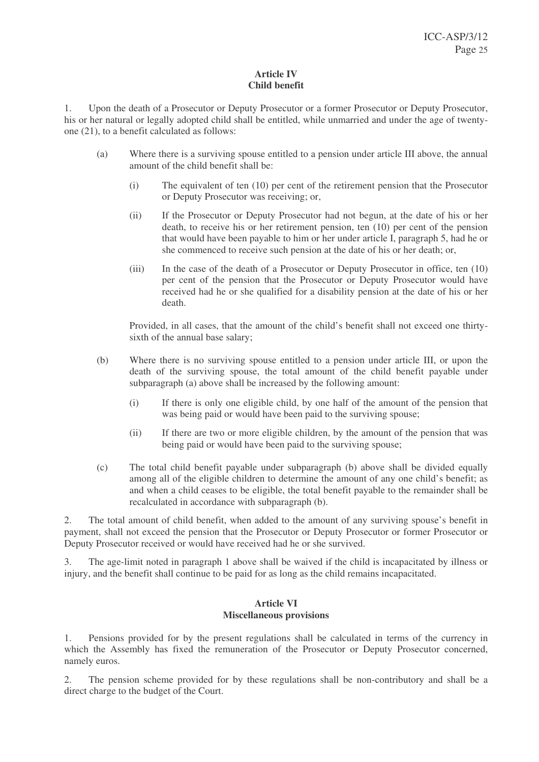### **Article IV Child benefit**

1. Upon the death of a Prosecutor or Deputy Prosecutor or a former Prosecutor or Deputy Prosecutor, his or her natural or legally adopted child shall be entitled, while unmarried and under the age of twentyone (21), to a benefit calculated as follows:

- (a) Where there is a surviving spouse entitled to a pension under article III above, the annual amount of the child benefit shall be:
	- (i) The equivalent of ten (10) per cent of the retirement pension that the Prosecutor or Deputy Prosecutor was receiving; or,
	- (ii) If the Prosecutor or Deputy Prosecutor had not begun, at the date of his or her death, to receive his or her retirement pension, ten (10) per cent of the pension that would have been payable to him or her under article I, paragraph 5, had he or she commenced to receive such pension at the date of his or her death; or,
	- (iii) In the case of the death of a Prosecutor or Deputy Prosecutor in office, ten (10) per cent of the pension that the Prosecutor or Deputy Prosecutor would have received had he or she qualified for a disability pension at the date of his or her death.

Provided, in all cases, that the amount of the child's benefit shall not exceed one thirtysixth of the annual base salary;

- (b) Where there is no surviving spouse entitled to a pension under article III, or upon the death of the surviving spouse, the total amount of the child benefit payable under subparagraph (a) above shall be increased by the following amount:
	- (i) If there is only one eligible child, by one half of the amount of the pension that was being paid or would have been paid to the surviving spouse;
	- (ii) If there are two or more eligible children, by the amount of the pension that was being paid or would have been paid to the surviving spouse;
- (c) The total child benefit payable under subparagraph (b) above shall be divided equally among all of the eligible children to determine the amount of any one child's benefit; as and when a child ceases to be eligible, the total benefit payable to the remainder shall be recalculated in accordance with subparagraph (b).

2. The total amount of child benefit, when added to the amount of any surviving spouse's benefit in payment, shall not exceed the pension that the Prosecutor or Deputy Prosecutor or former Prosecutor or Deputy Prosecutor received or would have received had he or she survived.

3. The age-limit noted in paragraph 1 above shall be waived if the child is incapacitated by illness or injury, and the benefit shall continue to be paid for as long as the child remains incapacitated.

#### **Article VI Miscellaneous provisions**

1. Pensions provided for by the present regulations shall be calculated in terms of the currency in which the Assembly has fixed the remuneration of the Prosecutor or Deputy Prosecutor concerned, namely euros.

2. The pension scheme provided for by these regulations shall be non-contributory and shall be a direct charge to the budget of the Court.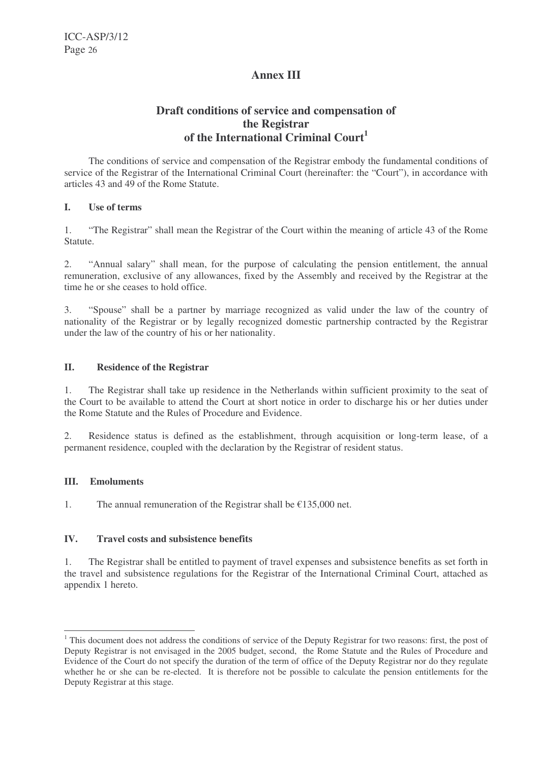# **Annex III**

# **Draft conditions of service and compensation of the Registrar of the International Criminal Court 1**

The conditions of service and compensation of the Registrar embody the fundamental conditions of service of the Registrar of the International Criminal Court (hereinafter: the "Court"), in accordance with articles 43 and 49 of the Rome Statute.

#### **I. Use of terms**

1. "The Registrar" shall mean the Registrar of the Court within the meaning of article 43 of the Rome Statute.

2. "Annual salary" shall mean, for the purpose of calculating the pension entitlement, the annual remuneration, exclusive of any allowances, fixed by the Assembly and received by the Registrar at the time he or she ceases to hold office.

3. "Spouse" shall be a partner by marriage recognized as valid under the law of the country of nationality of the Registrar or by legally recognized domestic partnership contracted by the Registrar under the law of the country of his or her nationality.

### **II. Residence of the Registrar**

1. The Registrar shall take up residence in the Netherlands within sufficient proximity to the seat of the Court to be available to attend the Court at short notice in order to discharge his or her duties under the Rome Statute and the Rules of Procedure and Evidence.

2. Residence status is defined as the establishment, through acquisition or long-term lease, of a permanent residence, coupled with the declaration by the Registrar of resident status.

# **III. Emoluments**

1. The annual remuneration of the Registrar shall be  $\epsilon$ 135,000 net.

#### **IV. Travel costs and subsistence benefits**

1. The Registrar shall be entitled to payment of travel expenses and subsistence benefits as set forth in the travel and subsistence regulations for the Registrar of the International Criminal Court, attached as appendix 1 hereto.

<sup>&</sup>lt;sup>1</sup> This document does not address the conditions of service of the Deputy Registrar for two reasons: first, the post of Deputy Registrar is not envisaged in the 2005 budget, second, the Rome Statute and the Rules of Procedure and Evidence of the Court do not specify the duration of the term of office of the Deputy Registrar nor do they regulate whether he or she can be re-elected. It is therefore not be possible to calculate the pension entitlements for the Deputy Registrar at this stage.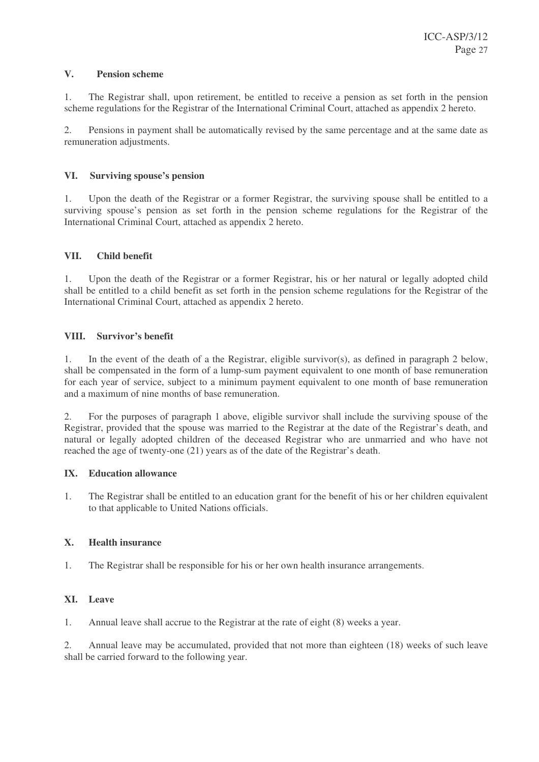### **V. Pension scheme**

1. The Registrar shall, upon retirement, be entitled to receive a pension as set forth in the pension scheme regulations for the Registrar of the International Criminal Court, attached as appendix 2 hereto.

2. Pensions in payment shall be automatically revised by the same percentage and at the same date as remuneration adjustments.

### **VI. Surviving spouse's pension**

1. Upon the death of the Registrar or a former Registrar, the surviving spouse shall be entitled to a surviving spouse's pension as set forth in the pension scheme regulations for the Registrar of the International Criminal Court, attached as appendix 2 hereto.

### **VII. Child benefit**

1. Upon the death of the Registrar or a former Registrar, his or her natural or legally adopted child shall be entitled to a child benefit as set forth in the pension scheme regulations for the Registrar of the International Criminal Court, attached as appendix 2 hereto.

### **VIII. Survivor's benefit**

1. In the event of the death of a the Registrar, eligible survivor(s), as defined in paragraph 2 below, shall be compensated in the form of a lump-sum payment equivalent to one month of base remuneration for each year of service, subject to a minimum payment equivalent to one month of base remuneration and a maximum of nine months of base remuneration.

2. For the purposes of paragraph 1 above, eligible survivor shall include the surviving spouse of the Registrar, provided that the spouse was married to the Registrar at the date of the Registrar's death, and natural or legally adopted children of the deceased Registrar who are unmarried and who have not reached the age of twenty-one (21) years as of the date of the Registrar's death.

#### **IX. Education allowance**

1. The Registrar shall be entitled to an education grant for the benefit of his or her children equivalent to that applicable to United Nations officials.

#### **X. Health insurance**

1. The Registrar shall be responsible for his or her own health insurance arrangements.

# **XI. Leave**

1. Annual leave shall accrue to the Registrar at the rate of eight (8) weeks a year.

2. Annual leave may be accumulated, provided that not more than eighteen (18) weeks of such leave shall be carried forward to the following year.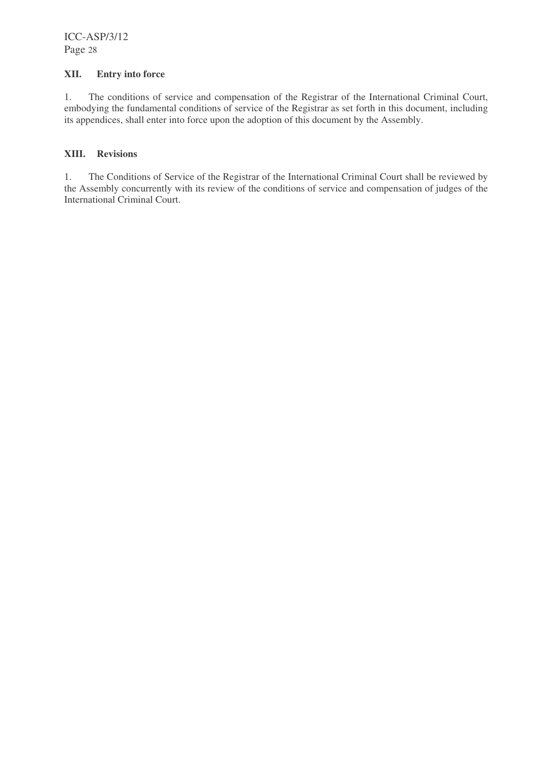### **XII. Entry into force**

1. The conditions of service and compensation of the Registrar of the International Criminal Court, embodying the fundamental conditions of service of the Registrar as set forth in this document, including its appendices, shall enter into force upon the adoption of this document by the Assembly.

### **XIII. Revisions**

1. The Conditions of Service of the Registrar of the International Criminal Court shall be reviewed by the Assembly concurrently with its review of the conditions of service and compensation of judges of the International Criminal Court.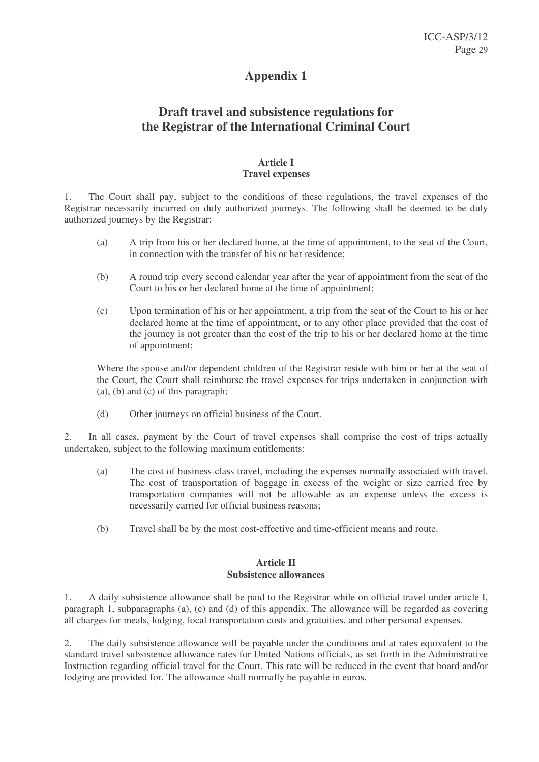# **Draft travel and subsistence regulations for the Registrar of the International Criminal Court**

#### **Article I Travel expenses**

1. The Court shall pay, subject to the conditions of these regulations, the travel expenses of the Registrar necessarily incurred on duly authorized journeys. The following shall be deemed to be duly authorized journeys by the Registrar:

- (a) A trip from his or her declared home, at the time of appointment, to the seat of the Court, in connection with the transfer of his or her residence;
- (b) A round trip every second calendar year after the year of appointment from the seat of the Court to his or her declared home at the time of appointment;
- (c) Upon termination of his or her appointment, a trip from the seat of the Court to his or her declared home at the time of appointment, or to any other place provided that the cost of the journey is not greater than the cost of the trip to his or her declared home at the time of appointment;

Where the spouse and/or dependent children of the Registrar reside with him or her at the seat of the Court, the Court shall reimburse the travel expenses for trips undertaken in conjunction with (a), (b) and (c) of this paragraph;

(d) Other journeys on official business of the Court.

2. In all cases, payment by the Court of travel expenses shall comprise the cost of trips actually undertaken, subject to the following maximum entitlements:

- (a) The cost of business-class travel, including the expenses normally associated with travel. The cost of transportation of baggage in excess of the weight or size carried free by transportation companies will not be allowable as an expense unless the excess is necessarily carried for official business reasons;
- (b) Travel shall be by the most cost-effective and time-efficient means and route.

#### **Article II Subsistence allowances**

1. A daily subsistence allowance shall be paid to the Registrar while on official travel under article I, paragraph 1, subparagraphs (a), (c) and (d) of this appendix. The allowance will be regarded as covering all charges for meals, lodging, local transportation costs and gratuities, and other personal expenses.

2. The daily subsistence allowance will be payable under the conditions and at rates equivalent to the standard travel subsistence allowance rates for United Nations officials, as set forth in the Administrative Instruction regarding official travel for the Court. This rate will be reduced in the event that board and/or lodging are provided for. The allowance shall normally be payable in euros.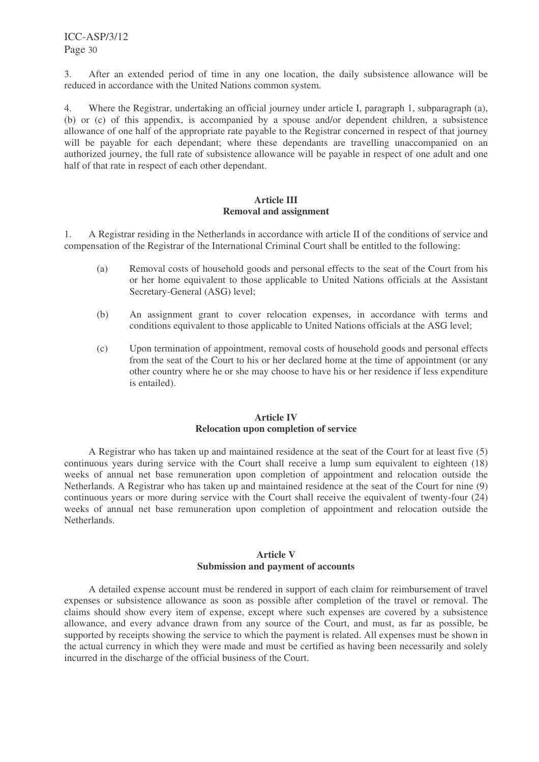3. After an extended period of time in any one location, the daily subsistence allowance will be reduced in accordance with the United Nations common system.

4. Where the Registrar, undertaking an official journey under article I, paragraph 1, subparagraph (a), (b) or (c) of this appendix, is accompanied by a spouse and/or dependent children, a subsistence allowance of one half of the appropriate rate payable to the Registrar concerned in respect of that journey will be payable for each dependant; where these dependants are travelling unaccompanied on an authorized journey, the full rate of subsistence allowance will be payable in respect of one adult and one half of that rate in respect of each other dependant.

#### **Article III Removal and assignment**

1. A Registrar residing in the Netherlands in accordance with article II of the conditions of service and compensation of the Registrar of the International Criminal Court shall be entitled to the following:

- (a) Removal costs of household goods and personal effects to the seat of the Court from his or her home equivalent to those applicable to United Nations officials at the Assistant Secretary-General (ASG) level;
- (b) An assignment grant to cover relocation expenses, in accordance with terms and conditions equivalent to those applicable to United Nations officials at the ASG level;
- (c) Upon termination of appointment, removal costs of household goods and personal effects from the seat of the Court to his or her declared home at the time of appointment (or any other country where he or she may choose to have his or her residence if less expenditure is entailed).

#### **Article IV Relocation upon completion of service**

A Registrar who has taken up and maintained residence at the seat of the Court for at least five (5) continuous years during service with the Court shall receive a lump sum equivalent to eighteen (18) weeks of annual net base remuneration upon completion of appointment and relocation outside the Netherlands. A Registrar who has taken up and maintained residence at the seat of the Court for nine (9) continuous years or more during service with the Court shall receive the equivalent of twenty-four (24) weeks of annual net base remuneration upon completion of appointment and relocation outside the Netherlands.

# **Article V Submission and payment of accounts**

A detailed expense account must be rendered in support of each claim for reimbursement of travel expenses or subsistence allowance as soon as possible after completion of the travel or removal. The claims should show every item of expense, except where such expenses are covered by a subsistence allowance, and every advance drawn from any source of the Court, and must, as far as possible, be supported by receipts showing the service to which the payment is related. All expenses must be shown in the actual currency in which they were made and must be certified as having been necessarily and solely incurred in the discharge of the official business of the Court.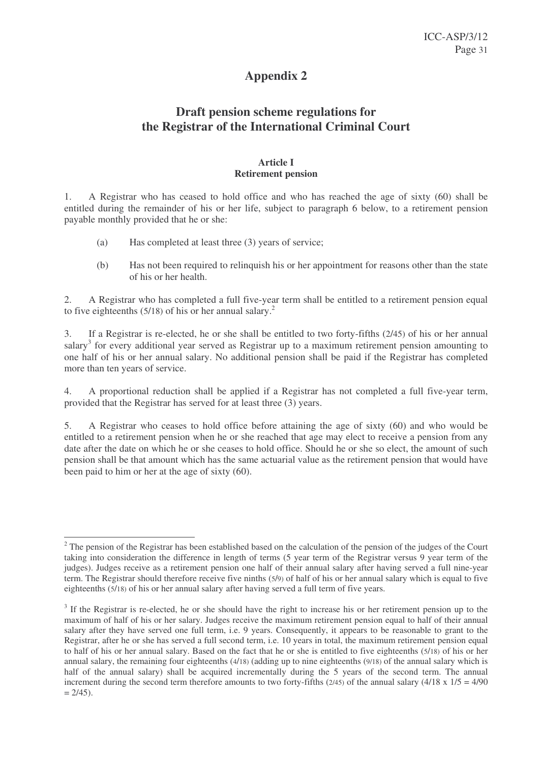# **Draft pension scheme regulations for the Registrar of the International Criminal Court**

#### **Article I Retirement pension**

1. A Registrar who has ceased to hold office and who has reached the age of sixty (60) shall be entitled during the remainder of his or her life, subject to paragraph 6 below, to a retirement pension payable monthly provided that he or she:

- (a) Has completed at least three (3) years of service;
- (b) Has not been required to relinquish his or her appointment for reasons other than the state of his or her health.

2. A Registrar who has completed a full five-year term shall be entitled to a retirement pension equal to five eighteenths  $(5/18)$  of his or her annual salary.<sup>2</sup>

3. If a Registrar is re-elected, he or she shall be entitled to two forty-fifths (2/45) of his or her annual salary<sup>3</sup> for every additional year served as Registrar up to a maximum retirement pension amounting to one half of his or her annual salary. No additional pension shall be paid if the Registrar has completed more than ten years of service.

4. A proportional reduction shall be applied if a Registrar has not completed a full five-year term, provided that the Registrar has served for at least three (3) years.

5. A Registrar who ceases to hold office before attaining the age of sixty (60) and who would be entitled to a retirement pension when he or she reached that age may elect to receive a pension from any date after the date on which he or she ceases to hold office. Should he or she so elect, the amount of such pension shall be that amount which has the same actuarial value as the retirement pension that would have been paid to him or her at the age of sixty (60).

 $2$  The pension of the Registrar has been established based on the calculation of the pension of the judges of the Court taking into consideration the difference in length of terms (5 year term of the Registrar versus 9 year term of the judges). Judges receive as a retirement pension one half of their annual salary after having served a full nine-year term. The Registrar should therefore receive five ninths (5/9) of half of his or her annual salary which is equal to five eighteenths (5/18) of his or her annual salary after having served a full term of five years.

 $3$  If the Registrar is re-elected, he or she should have the right to increase his or her retirement pension up to the maximum of half of his or her salary. Judges receive the maximum retirement pension equal to half of their annual salary after they have served one full term, i.e. 9 years. Consequently, it appears to be reasonable to grant to the Registrar, after he or she has served a full second term, i.e. 10 years in total, the maximum retirement pension equal to half of his or her annual salary. Based on the fact that he or she is entitled to five eighteenths (5/18) of his or her annual salary, the remaining four eighteenths (4/18) (adding up to nine eighteenths (9/18) of the annual salary which is half of the annual salary) shall be acquired incrementally during the 5 years of the second term. The annual increment during the second term therefore amounts to two forty-fifths (2/45) of the annual salary (4/18 x  $1/5 = 4/90$  $= 2/45$ ).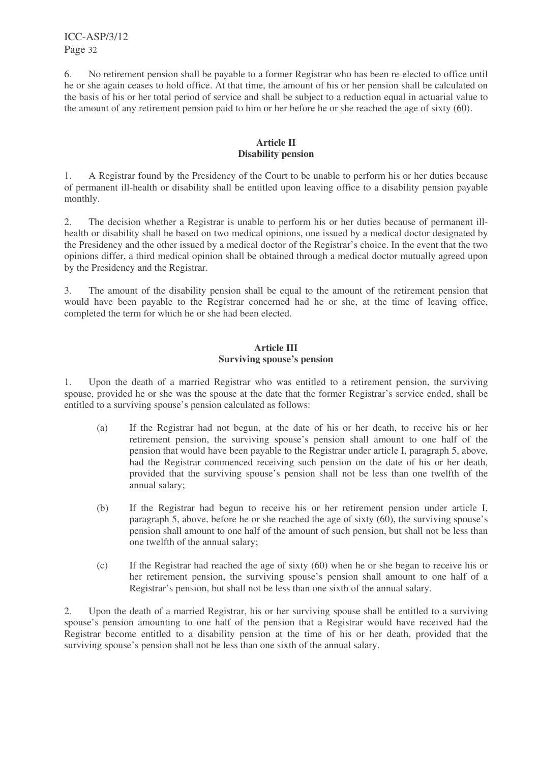6. No retirement pension shall be payable to a former Registrar who has been re-elected to office until he or she again ceases to hold office. At that time, the amount of his or her pension shall be calculated on the basis of his or her total period of service and shall be subject to a reduction equal in actuarial value to the amount of any retirement pension paid to him or her before he or she reached the age of sixty (60).

# **Article II Disability pension**

1. A Registrar found by the Presidency of the Court to be unable to perform his or her duties because of permanent ill-health or disability shall be entitled upon leaving office to a disability pension payable monthly.

2. The decision whether a Registrar is unable to perform his or her duties because of permanent illhealth or disability shall be based on two medical opinions, one issued by a medical doctor designated by the Presidency and the other issued by a medical doctor of the Registrar's choice. In the event that the two opinions differ, a third medical opinion shall be obtained through a medical doctor mutually agreed upon by the Presidency and the Registrar.

3. The amount of the disability pension shall be equal to the amount of the retirement pension that would have been payable to the Registrar concerned had he or she, at the time of leaving office, completed the term for which he or she had been elected.

### **Article III Surviving spouse's pension**

1. Upon the death of a married Registrar who was entitled to a retirement pension, the surviving spouse, provided he or she was the spouse at the date that the former Registrar's service ended, shall be entitled to a surviving spouse's pension calculated as follows:

- (a) If the Registrar had not begun, at the date of his or her death, to receive his or her retirement pension, the surviving spouse's pension shall amount to one half of the pension that would have been payable to the Registrar under article I, paragraph 5, above, had the Registrar commenced receiving such pension on the date of his or her death, provided that the surviving spouse's pension shall not be less than one twelfth of the annual salary;
- (b) If the Registrar had begun to receive his or her retirement pension under article I, paragraph 5, above, before he or she reached the age of sixty (60), the surviving spouse's pension shall amount to one half of the amount of such pension, but shall not be less than one twelfth of the annual salary;
- (c) If the Registrar had reached the age of sixty (60) when he or she began to receive his or her retirement pension, the surviving spouse's pension shall amount to one half of a Registrar's pension, but shall not be less than one sixth of the annual salary.

2. Upon the death of a married Registrar, his or her surviving spouse shall be entitled to a surviving spouse's pension amounting to one half of the pension that a Registrar would have received had the Registrar become entitled to a disability pension at the time of his or her death, provided that the surviving spouse's pension shall not be less than one sixth of the annual salary.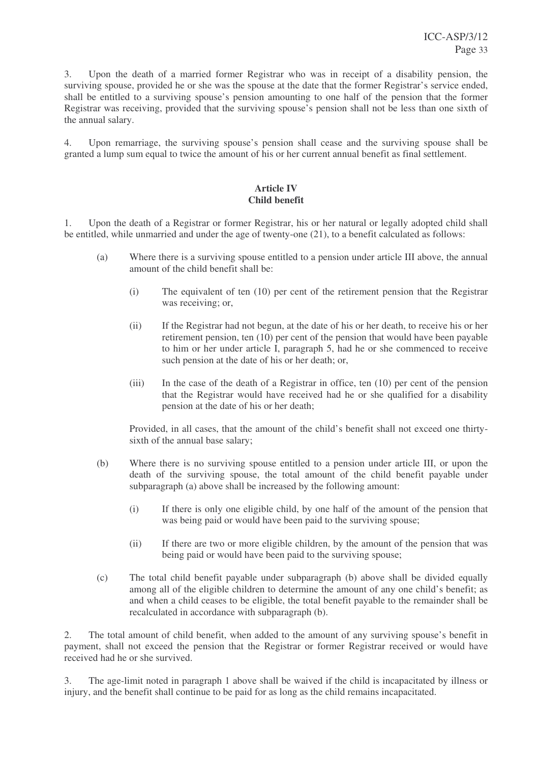3. Upon the death of a married former Registrar who was in receipt of a disability pension, the surviving spouse, provided he or she was the spouse at the date that the former Registrar's service ended, shall be entitled to a surviving spouse's pension amounting to one half of the pension that the former Registrar was receiving, provided that the surviving spouse's pension shall not be less than one sixth of the annual salary.

4. Upon remarriage, the surviving spouse's pension shall cease and the surviving spouse shall be granted a lump sum equal to twice the amount of his or her current annual benefit as final settlement.

# **Article IV Child benefit**

1. Upon the death of a Registrar or former Registrar, his or her natural or legally adopted child shall be entitled, while unmarried and under the age of twenty-one (21), to a benefit calculated as follows:

- (a) Where there is a surviving spouse entitled to a pension under article III above, the annual amount of the child benefit shall be:
	- (i) The equivalent of ten (10) per cent of the retirement pension that the Registrar was receiving; or,
	- (ii) If the Registrar had not begun, at the date of his or her death, to receive his or her retirement pension, ten (10) per cent of the pension that would have been payable to him or her under article I, paragraph 5, had he or she commenced to receive such pension at the date of his or her death; or,
	- (iii) In the case of the death of a Registrar in office, ten (10) per cent of the pension that the Registrar would have received had he or she qualified for a disability pension at the date of his or her death;

Provided, in all cases, that the amount of the child's benefit shall not exceed one thirtysixth of the annual base salary;

- (b) Where there is no surviving spouse entitled to a pension under article III, or upon the death of the surviving spouse, the total amount of the child benefit payable under subparagraph (a) above shall be increased by the following amount:
	- (i) If there is only one eligible child, by one half of the amount of the pension that was being paid or would have been paid to the surviving spouse;
	- (ii) If there are two or more eligible children, by the amount of the pension that was being paid or would have been paid to the surviving spouse;
- (c) The total child benefit payable under subparagraph (b) above shall be divided equally among all of the eligible children to determine the amount of any one child's benefit; as and when a child ceases to be eligible, the total benefit payable to the remainder shall be recalculated in accordance with subparagraph (b).

2. The total amount of child benefit, when added to the amount of any surviving spouse's benefit in payment, shall not exceed the pension that the Registrar or former Registrar received or would have received had he or she survived.

3. The age-limit noted in paragraph 1 above shall be waived if the child is incapacitated by illness or injury, and the benefit shall continue to be paid for as long as the child remains incapacitated.